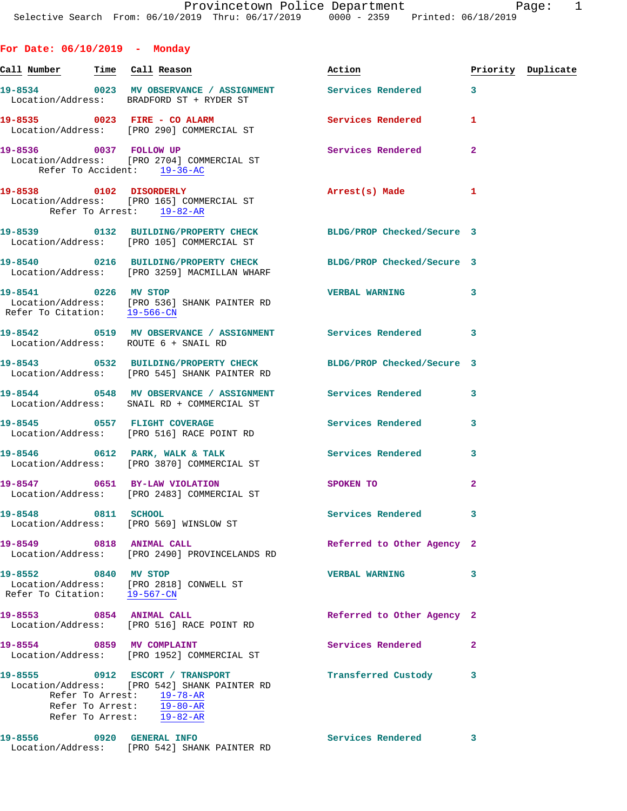|  |  | For Date: 06/10/2019 |  | Monday |
|--|--|----------------------|--|--------|
|--|--|----------------------|--|--------|

| Call Number Time Call Reason                         |                                                                                                                                                                                                                           | Action                     |                | Priority Duplicate |
|------------------------------------------------------|---------------------------------------------------------------------------------------------------------------------------------------------------------------------------------------------------------------------------|----------------------------|----------------|--------------------|
|                                                      | 19-8534 0023 MV OBSERVANCE / ASSIGNMENT Services Rendered<br>Location/Address: BRADFORD ST + RYDER ST                                                                                                                     |                            | $\mathbf{3}$   |                    |
|                                                      | 19-8535 0023 FIRE - CO ALARM Services Rendered<br>Location/Address: [PRO 290] COMMERCIAL ST                                                                                                                               |                            | 1              |                    |
|                                                      | 19-8536 0037 FOLLOW UP<br>Location/Address: [PRO 2704] COMMERCIAL ST<br>Refer To Accident: 19-36-AC                                                                                                                       | <b>Services Rendered</b>   | $\mathbf{2}$   |                    |
|                                                      | 19-8538 0102 DISORDERLY<br>Location/Address: [PRO 165] COMMERCIAL ST<br>Refer To Arrest: 19-82-AR                                                                                                                         | Arrest(s) Made             | 1              |                    |
|                                                      | 19-8539 0132 BUILDING/PROPERTY CHECK BLDG/PROP Checked/Secure 3<br>Location/Address: [PRO 105] COMMERCIAL ST                                                                                                              |                            |                |                    |
|                                                      | 19-8540 0216 BUILDING/PROPERTY CHECK BLDG/PROP Checked/Secure 3<br>Location/Address: [PRO 3259] MACMILLAN WHARF                                                                                                           |                            |                |                    |
| 19-8541 0226 MV STOP                                 | Location/Address: [PRO 536] SHANK PAINTER RD<br>Refer To Citation: 19-566-CN                                                                                                                                              | VERBAL WARNING 3           |                |                    |
|                                                      | 19-8542 0519 MV OBSERVANCE / ASSIGNMENT Services Rendered<br>Location/Address: ROUTE 6 + SNAIL RD                                                                                                                         |                            | 3              |                    |
|                                                      | 19-8543 0532 BUILDING/PROPERTY CHECK<br>Location/Address: [PRO 545] SHANK PAINTER RD                                                                                                                                      | BLDG/PROP Checked/Secure 3 |                |                    |
|                                                      | 19-8544 0548 MV OBSERVANCE / ASSIGNMENT Services Rendered<br>Location/Address: SNAIL RD + COMMERCIAL ST                                                                                                                   |                            | 3              |                    |
|                                                      | 19-8545 0557 FLIGHT COVERAGE<br>Location/Address: [PRO 516] RACE POINT RD                                                                                                                                                 | Services Rendered          | 3              |                    |
|                                                      | 19-8546 0612 PARK, WALK & TALK 3 Services Rendered<br>Location/Address: [PRO 3870] COMMERCIAL ST                                                                                                                          |                            | 3              |                    |
|                                                      | 19-8547 0651 BY-LAW VIOLATION<br>Location/Address: [PRO 2483] COMMERCIAL ST                                                                                                                                               | SPOKEN TO                  | $\overline{a}$ |                    |
| 19-8548 0811 SCHOOL                                  | Location/Address: [PRO 569] WINSLOW ST                                                                                                                                                                                    | Services Rendered          | 3              |                    |
| 19-8549 0818 ANIMAL CALL                             | Location/Address: [PRO 2490] PROVINCELANDS RD                                                                                                                                                                             | Referred to Other Agency 2 |                |                    |
| 19-8552 0840 MV STOP<br>Refer To Citation: 19-567-CN | Location/Address: [PRO 2818] CONWELL ST                                                                                                                                                                                   | <b>VERBAL WARNING</b>      | 3              |                    |
| 19-8553 0854 ANIMAL CALL                             | Location/Address: [PRO 516] RACE POINT RD                                                                                                                                                                                 | Referred to Other Agency 2 |                |                    |
|                                                      | 19-8554 0859 MV COMPLAINT<br>Location/Address: [PRO 1952] COMMERCIAL ST                                                                                                                                                   | Services Rendered          | $\overline{a}$ |                    |
|                                                      | 19-8555 0912 ESCORT / TRANSPORT<br>Location/Address: [PRO 542] SHANK PAINTER RD<br>Refer To Arrest: $\frac{19-78-AR}{19-80-AR}$<br>Refer To Arrest: $\frac{19-80-AR}{19-80-AR}$<br>Refer To Arrest: $\overline{19-82-AR}$ | Transferred Custody        | 3              |                    |
| 19-8556 0920 GENERAL INFO                            | Location/Address: [PRO 542] SHANK PAINTER RD                                                                                                                                                                              | Services Rendered          | 3              |                    |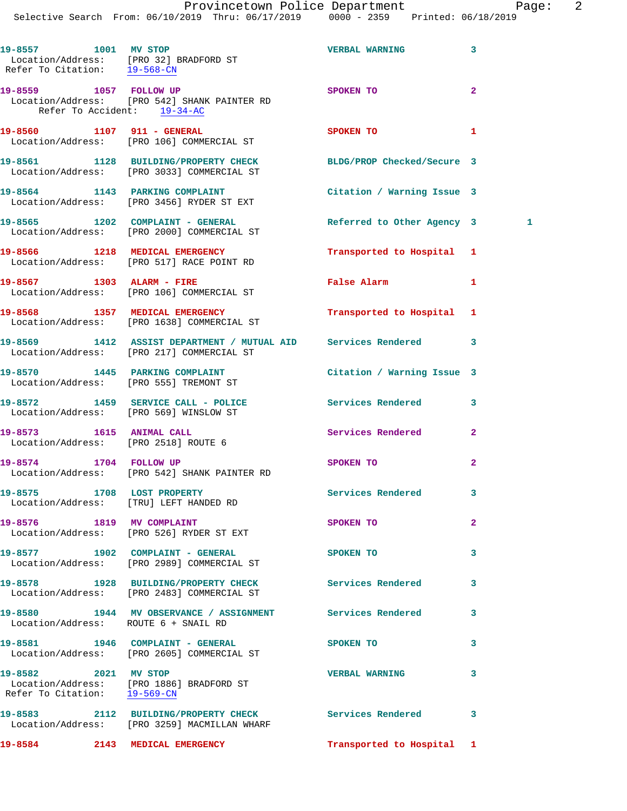Selective Search From: 06/10/2019 Thru: 06/17/2019 0000 - 2359 Printed: 06/18/2019

| 19-8557 1001 MV STOP                                  | Location/Address: [PRO 32] BRADFORD ST<br>Refer To Citation: 19-568-CN                                     | <b>VERBAL WARNING</b>         | 3              |  |
|-------------------------------------------------------|------------------------------------------------------------------------------------------------------------|-------------------------------|----------------|--|
| 19-8559 1057 FOLLOW UP<br>Refer To Accident: 19-34-AC | Location/Address: [PRO 542] SHANK PAINTER RD                                                               | SPOKEN TO                     | $\mathbf{2}$   |  |
|                                                       | 19-8560 1107 911 - GENERAL<br>Location/Address: [PRO 106] COMMERCIAL ST                                    | SPOKEN TO                     | 1              |  |
|                                                       | 19-8561 1128 BUILDING/PROPERTY CHECK<br>Location/Address: [PRO 3033] COMMERCIAL ST                         | BLDG/PROP Checked/Secure 3    |                |  |
|                                                       | 19-8564 1143 PARKING COMPLAINT<br>Location/Address: [PRO 3456] RYDER ST EXT                                | Citation / Warning Issue 3    |                |  |
|                                                       | 19-8565 1202 COMPLAINT - GENERAL<br>Location/Address: [PRO 2000] COMMERCIAL ST                             | Referred to Other Agency 3    | $\sim$ 1       |  |
|                                                       | 19-8566 1218 MEDICAL EMERGENCY<br>Location/Address: [PRO 517] RACE POINT RD                                | Transported to Hospital 1     |                |  |
| 19-8567 1303 ALARM - FIRE                             | Location/Address: [PRO 106] COMMERCIAL ST                                                                  | False Alarm <b>Example 20</b> | 1              |  |
|                                                       | 19-8568 1357 MEDICAL EMERGENCY<br>Location/Address: [PRO 1638] COMMERCIAL ST                               | Transported to Hospital 1     |                |  |
|                                                       | 19-8569 1412 ASSIST DEPARTMENT / MUTUAL AID Services Rendered<br>Location/Address: [PRO 217] COMMERCIAL ST |                               | 3              |  |
|                                                       | 19-8570 1445 PARKING COMPLAINT<br>Location/Address: [PRO 555] TREMONT ST                                   | Citation / Warning Issue 3    |                |  |
|                                                       | 19-8572 1459 SERVICE CALL - POLICE<br>Location/Address: [PRO 569] WINSLOW ST                               | Services Rendered             | 3              |  |
|                                                       | 19-8573 1615 ANIMAL CALL<br>Location/Address: [PRO 2518] ROUTE 6                                           | Services Rendered             | $\overline{a}$ |  |
| 19-8574 1704 FOLLOW UP                                | Location/Address: [PRO 542] SHANK PAINTER RD                                                               | SPOKEN TO                     | 2              |  |
|                                                       | 19-8575 1708 LOST PROPERTY<br>Location/Address: [TRU] LEFT HANDED RD                                       | Services Rendered             | 3              |  |
| 19-8576 1819 MV COMPLAINT                             | Location/Address: [PRO 526] RYDER ST EXT                                                                   | SPOKEN TO                     | $\overline{a}$ |  |
|                                                       | 19-8577 1902 COMPLAINT - GENERAL<br>Location/Address: [PRO 2989] COMMERCIAL ST                             | SPOKEN TO                     | 3              |  |
|                                                       | 19-8578 1928 BUILDING/PROPERTY CHECK Services Rendered<br>Location/Address: [PRO 2483] COMMERCIAL ST       |                               | 3              |  |
| Location/Address: ROUTE 6 + SNAIL RD                  | 19-8580 1944 MV OBSERVANCE / ASSIGNMENT Services Rendered                                                  |                               | 3              |  |
|                                                       | 19-8581 1946 COMPLAINT - GENERAL<br>Location/Address: [PRO 2605] COMMERCIAL ST                             | SPOKEN TO                     | 3              |  |
| 19-8582 2021 MV STOP<br>Refer To Citation: 19-569-CN  | Location/Address: [PRO 1886] BRADFORD ST                                                                   | <b>VERBAL WARNING</b>         | 3              |  |
|                                                       | 19-8583 2112 BUILDING/PROPERTY CHECK Services Rendered<br>Location/Address: [PRO 3259] MACMILLAN WHARF     |                               | 3              |  |
|                                                       | 19-8584 2143 MEDICAL EMERGENCY                                                                             | Transported to Hospital 1     |                |  |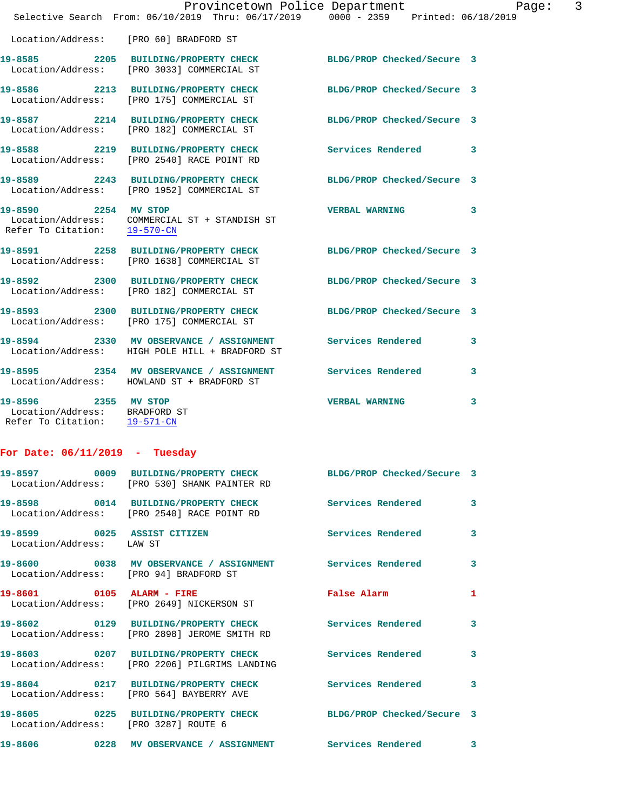|                                                                                       | Selective Search From: 06/10/2019 Thru: 06/17/2019 0000 - 2359 Printed: 06/18/2019                              |                       |              |
|---------------------------------------------------------------------------------------|-----------------------------------------------------------------------------------------------------------------|-----------------------|--------------|
|                                                                                       | Location/Address: [PRO 60] BRADFORD ST                                                                          |                       |              |
|                                                                                       | 19-8585 2205 BUILDING/PROPERTY CHECK BLDG/PROP Checked/Secure 3<br>Location/Address: [PRO 3033] COMMERCIAL ST   |                       |              |
|                                                                                       | 19-8586 2213 BUILDING/PROPERTY CHECK BLDG/PROP Checked/Secure 3<br>Location/Address: [PRO 175] COMMERCIAL ST    |                       |              |
|                                                                                       | 19-8587 2214 BUILDING/PROPERTY CHECK BLDG/PROP Checked/Secure 3<br>Location/Address: [PRO 182] COMMERCIAL ST    |                       |              |
|                                                                                       | 19-8588 2219 BUILDING/PROPERTY CHECK<br>Location/Address: [PRO 2540] RACE POINT RD                              | Services Rendered 3   |              |
|                                                                                       | 19-8589 2243 BUILDING/PROPERTY CHECK BLDG/PROP Checked/Secure 3<br>Location/Address: [PRO 1952] COMMERCIAL ST   |                       |              |
| 19-8590 2254 MV STOP<br>Refer To Citation: 19-570-CN                                  | Location/Address: COMMERCIAL ST + STANDISH ST                                                                   | <b>VERBAL WARNING</b> | $\mathbf{3}$ |
|                                                                                       | 19-8591 2258 BUILDING/PROPERTY CHECK BLDG/PROP Checked/Secure 3<br>Location/Address: [PRO 1638] COMMERCIAL ST   |                       |              |
|                                                                                       | 19-8592 2300 BUILDING/PROPERTY CHECK BLDG/PROP Checked/Secure 3<br>Location/Address: [PRO 182] COMMERCIAL ST    |                       |              |
|                                                                                       | 19-8593 2300 BUILDING/PROPERTY CHECK BLDG/PROP Checked/Secure 3<br>Location/Address: [PRO 175] COMMERCIAL ST    |                       |              |
|                                                                                       | 19-8594 2330 MV OBSERVANCE / ASSIGNMENT Services Rendered 3<br>Location/Address: HIGH POLE HILL + BRADFORD ST   |                       |              |
|                                                                                       | 19-8595 2354 MV OBSERVANCE / ASSIGNMENT Services Rendered<br>Location/Address: HOWLAND ST + BRADFORD ST         |                       | $\mathbf{3}$ |
| 19-8596 2355 MV STOP<br>Location/Address: BRADFORD ST<br>Refer To Citation: 19-571-CN |                                                                                                                 | <b>VERBAL WARNING</b> | 3            |
| For Date: $06/11/2019$ - Tuesday                                                      |                                                                                                                 |                       |              |
|                                                                                       | 19-8597 0009 BUILDING/PROPERTY CHECK BLDG/PROP Checked/Secure 3<br>Location/Address: [PRO 530] SHANK PAINTER RD |                       |              |
|                                                                                       | 19-8598 0014 BUILDING/PROPERTY CHECK Services Rendered<br>Location/Address: [PRO 2540] RACE POINT RD            |                       | 3            |
| 19-8599 0025 ASSIST CITIZEN<br>Location/Address: LAW ST                               |                                                                                                                 | Services Rendered     | $\mathbf{3}$ |
|                                                                                       | 19-8600 0038 MV OBSERVANCE / ASSIGNMENT Services Rendered<br>Location/Address: [PRO 94] BRADFORD ST             |                       | 3            |
| 19-8601 0105 ALARM - FIRE                                                             | Location/Address: [PRO 2649] NICKERSON ST                                                                       | False Alarm           | 1            |
|                                                                                       | 19-8602 0129 BUILDING/PROPERTY CHECK Services Rendered<br>Location/Address: [PRO 2898] JEROME SMITH RD          |                       | 3            |
|                                                                                       | 19-8603 0207 BUILDING/PROPERTY CHECK<br>Location/Address: [PRO 2206] PILGRIMS LANDING                           | Services Rendered     | 3            |
|                                                                                       | 19-8604 0217 BUILDING/PROPERTY CHECK<br>Location/Address: [PRO 564] BAYBERRY AVE                                | Services Rendered     | 3            |
| Location/Address: [PRO 3287] ROUTE 6                                                  | 19-8605 0225 BUILDING/PROPERTY CHECK BLDG/PROP Checked/Secure 3                                                 |                       |              |
|                                                                                       | 19-8606 6228 MV OBSERVANCE / ASSIGNMENT Services Rendered 3                                                     |                       |              |

Provincetown Police Department Fage: 3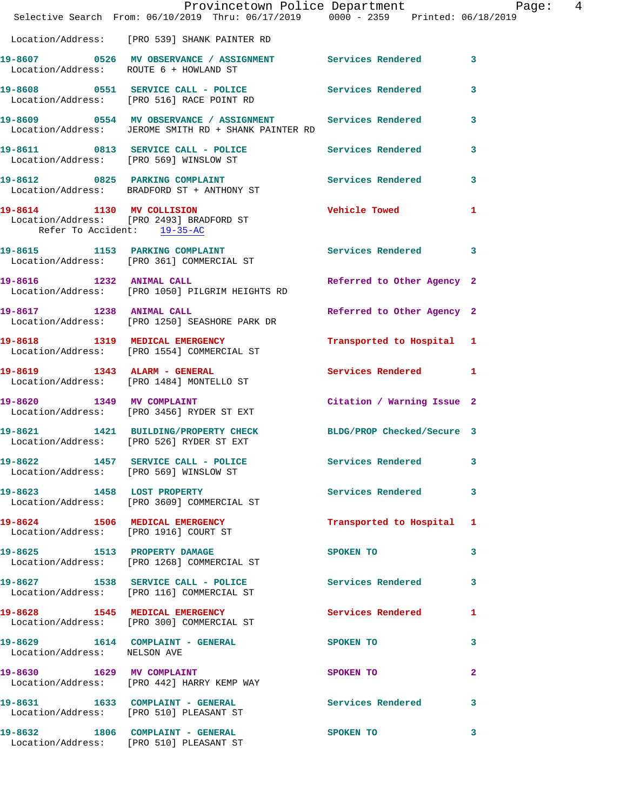|                                        | Provincetown Police Department Page: 4<br>Selective Search From: 06/10/2019 Thru: 06/17/2019   0000 - 2359   Printed: 06/18/2019 |                            |              |
|----------------------------------------|----------------------------------------------------------------------------------------------------------------------------------|----------------------------|--------------|
|                                        | Location/Address: [PRO 539] SHANK PAINTER RD                                                                                     |                            |              |
| Location/Address: ROUTE 6 + HOWLAND ST | 19-8607 0526 MV OBSERVANCE / ASSIGNMENT Services Rendered 3                                                                      |                            |              |
|                                        | 19-8608 0551 SERVICE CALL - POLICE<br>Location/Address: [PRO 516] RACE POINT RD                                                  | Services Rendered          | 3            |
|                                        | 19-8609 0554 MV OBSERVANCE / ASSIGNMENT Services Rendered 3<br>Location/Address: JEROME SMITH RD + SHANK PAINTER RD              |                            |              |
|                                        | 19-8611 0813 SERVICE CALL - POLICE<br>Location/Address: [PRO 569] WINSLOW ST                                                     | Services Rendered          | $\mathbf{3}$ |
|                                        | 19-8612 0825 PARKING COMPLAINT Services Rendered 3<br>Location/Address: BRADFORD ST + ANTHONY ST                                 |                            |              |
| Refer To Accident: 19-35-AC            | 19-8614 1130 MV COLLISION<br>Location/Address: [PRO 2493] BRADFORD ST                                                            | Vehicle Towed 1            |              |
|                                        | 19-8615 1153 PARKING COMPLAINT<br>Location/Address: [PRO 361] COMMERCIAL ST                                                      | Services Rendered 3        |              |
|                                        | 19-8616 1232 ANIMAL CALL<br>Location/Address: [PRO 1050] PILGRIM HEIGHTS RD                                                      | Referred to Other Agency 2 |              |
|                                        | 19-8617 1238 ANIMAL CALL<br>Location/Address: [PRO 1250] SEASHORE PARK DR                                                        | Referred to Other Agency 2 |              |
|                                        | 19-8618 1319 MEDICAL EMERGENCY<br>Location/Address: [PRO 1554] COMMERCIAL ST                                                     | Transported to Hospital 1  |              |
|                                        | 19-8619 1343 ALARM - GENERAL<br>Location/Address: [PRO 1484] MONTELLO ST                                                         | Services Rendered 1        |              |
| 19-8620 1349 MV COMPLAINT              | Location/Address: [PRO 3456] RYDER ST EXT                                                                                        | Citation / Warning Issue 2 |              |
|                                        | 19-8621 1421 BUILDING/PROPERTY CHECK BLDG/PROP Checked/Secure 3<br>Location/Address: [PRO 526] RYDER ST EXT                      |                            |              |
|                                        | 19-8622 1457 SERVICE CALL - POLICE<br>Location/Address: [PRO 569] WINSLOW ST                                                     | Services Rendered 3        |              |
|                                        | 19-8623 1458 LOST PROPERTY<br>Location/Address: [PRO 3609] COMMERCIAL ST                                                         | Services Rendered          | 3            |
| 19-8624 1506 MEDICAL EMERGENCY         | Location/Address: [PRO 1916] COURT ST                                                                                            | Transported to Hospital 1  |              |
|                                        | 19-8625 1513 PROPERTY DAMAGE<br>Location/Address: [PRO 1268] COMMERCIAL ST                                                       | SPOKEN TO                  | 3            |
|                                        | 19-8627 1538 SERVICE CALL - POLICE Services Rendered 3<br>Location/Address: [PRO 116] COMMERCIAL ST                              |                            |              |
|                                        | 19-8628 1545 MEDICAL EMERGENCY<br>Location/Address: [PRO 300] COMMERCIAL ST                                                      | Services Rendered          | $\mathbf{1}$ |
| Location/Address: NELSON AVE           | 19-8629 1614 COMPLAINT - GENERAL                                                                                                 | SPOKEN TO                  | 3            |
|                                        | 19-8630 1629 MV COMPLAINT<br>Location/Address: [PRO 442] HARRY KEMP WAY                                                          | SPOKEN TO                  | $\mathbf{2}$ |
|                                        | 19-8631 1633 COMPLAINT - GENERAL<br>Location/Address: [PRO 510] PLEASANT ST                                                      | Services Rendered          | 3            |
|                                        | 19-8632 1806 COMPLAINT - GENERAL<br>Location/Address: [PRO 510] PLEASANT ST                                                      | SPOKEN TO                  | 3            |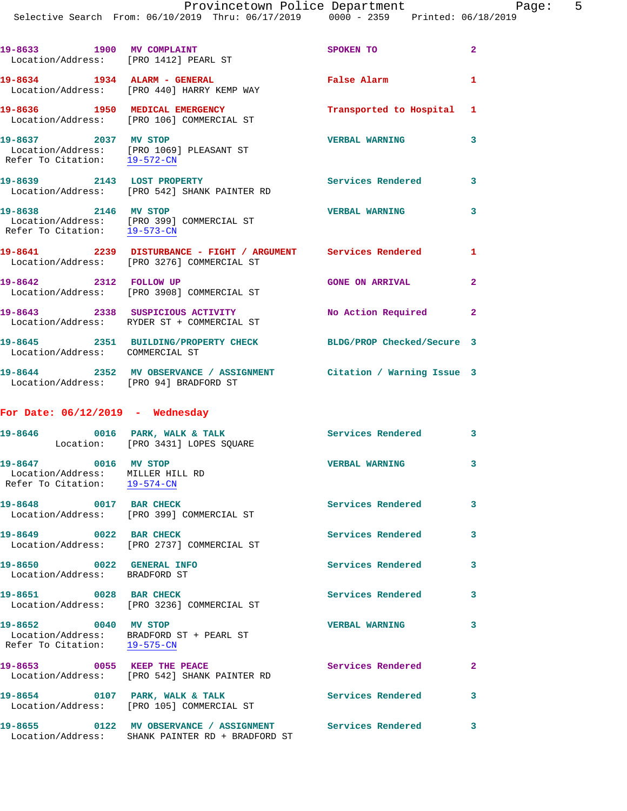| 19-8633 1900 MV COMPLAINT<br>Location/Address: [PRO 1412] PEARL ST |                                                                                                             | SPOKEN TO                 | $\overline{2}$ |
|--------------------------------------------------------------------|-------------------------------------------------------------------------------------------------------------|---------------------------|----------------|
| 19-8634 1934 ALARM - GENERAL                                       | Location/Address: [PRO 440] HARRY KEMP WAY                                                                  | False Alarm               | $\mathbf{1}$   |
|                                                                    | 19-8636 1950 MEDICAL EMERGENCY<br>Location/Address: [PRO 106] COMMERCIAL ST                                 | Transported to Hospital 1 |                |
| 19-8637 2037 MV STOP<br>Refer To Citation: 19-572-CN               | Location/Address: [PRO 1069] PLEASANT ST                                                                    | <b>VERBAL WARNING</b>     | $\mathbf{3}$   |
|                                                                    | 19-8639 2143 LOST PROPERTY<br>Location/Address: [PRO 542] SHANK PAINTER RD                                  | <b>Services Rendered</b>  | $\mathbf{3}$   |
| 19-8638 2146 MV STOP<br>Refer To Citation: 19-573-CN               | Location/Address: [PRO 399] COMMERCIAL ST                                                                   | <b>VERBAL WARNING</b>     | 3              |
|                                                                    | 19-8641 2239 DISTURBANCE - FIGHT / ARGUMENT Services Rendered<br>Location/Address: [PRO 3276] COMMERCIAL ST |                           | 1              |
| 19-8642 2312 FOLLOW UP                                             | Location/Address: [PRO 3908] COMMERCIAL ST                                                                  | <b>GONE ON ARRIVAL</b>    | $\overline{2}$ |
|                                                                    | 19-8643 2338 SUSPICIOUS ACTIVITY<br>Location/Address: RYDER ST + COMMERCIAL ST                              | No Action Required        | $\overline{2}$ |
|                                                                    | 19-8645 2351 BUILDING/PROPERTY CHECK BLDG/PROP Checked/Secure 3                                             |                           |                |

**19-8644 2352 MV OBSERVANCE / ASSIGNMENT Citation / Warning Issue 3**  Location/Address: [PRO 94] BRADFORD ST

## **For Date: 06/12/2019 - Wednesday**

Location/Address: COMMERCIAL ST

|                                                                                          | Location: [PRO 3431] LOPES SQUARE                                                                              |                          | $\overline{3}$          |
|------------------------------------------------------------------------------------------|----------------------------------------------------------------------------------------------------------------|--------------------------|-------------------------|
| 19-8647 0016 MV STOP<br>Location/Address: MILLER HILL RD<br>Refer To Citation: 19-574-CN |                                                                                                                | <b>VERBAL WARNING</b>    | $\overline{\mathbf{3}}$ |
|                                                                                          | 19-8648 0017 BAR CHECK<br>Location/Address: [PRO 399] COMMERCIAL ST                                            | <b>Services Rendered</b> | $\overline{\mathbf{3}}$ |
| 19-8649 0022 BAR CHECK                                                                   | Location/Address: [PRO 2737] COMMERCIAL ST                                                                     | <b>Services Rendered</b> | $\overline{\mathbf{3}}$ |
| 19-8650 0022 GENERAL INFO<br>Location/Address: BRADFORD ST                               |                                                                                                                | <b>Services Rendered</b> | $\mathbf{3}$            |
| 19-8651 0028 BAR CHECK                                                                   | Location/Address: [PRO 3236] COMMERCIAL ST                                                                     | <b>Services Rendered</b> | $\mathbf{3}$            |
| 19-8652 0040 MV STOP<br>Refer To Citation: 19-575-CN                                     | Location/Address: BRADFORD ST + PEARL ST                                                                       | <b>VERBAL WARNING</b>    | $\mathbf{3}$            |
|                                                                                          | 19-8653 0055 KEEP THE PEACE<br>Location/Address: [PRO 542] SHANK PAINTER RD                                    | <b>Services Rendered</b> | $\overline{2}$          |
|                                                                                          | 19-8654 0107 PARK, WALK & TALK<br>Location/Address: [PRO 105] COMMERCIAL ST                                    | <b>Services Rendered</b> | $\mathbf{3}$            |
|                                                                                          | 19-8655  0122 MV OBSERVANCE / ASSIGNMENT Services Rendered<br>Location/Address: SHANK PAINTER RD + BRADFORD ST |                          | $\overline{\mathbf{3}}$ |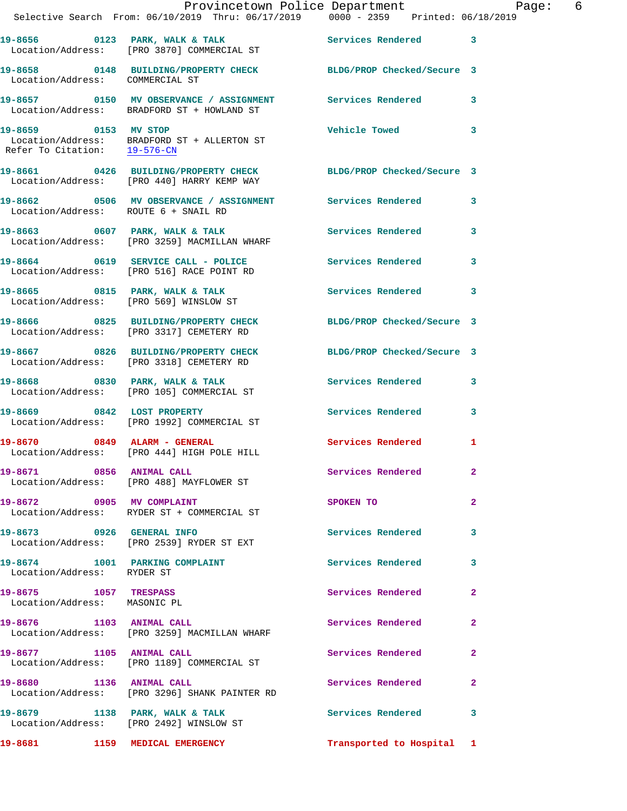|                                                       | Provincetown Police Department Page: 6<br>Selective Search From: 06/10/2019 Thru: 06/17/2019   0000 - 2359   Printed: 06/18/2019 |                           |              |  |
|-------------------------------------------------------|----------------------------------------------------------------------------------------------------------------------------------|---------------------------|--------------|--|
|                                                       | Location/Address: [PRO 3870] COMMERCIAL ST                                                                                       |                           |              |  |
| Location/Address: COMMERCIAL ST                       | 19-8658 0148 BUILDING/PROPERTY CHECK BLDG/PROP Checked/Secure 3                                                                  |                           |              |  |
|                                                       |                                                                                                                                  |                           |              |  |
| 19-8659 0153 MV STOP<br>Refer To Citation: 19-576-CN  | Location/Address: BRADFORD ST + ALLERTON ST                                                                                      | Vehicle Towed 3           |              |  |
|                                                       | 19-8661 0426 BUILDING/PROPERTY CHECK BLDG/PROP Checked/Secure 3<br>Location/Address: [PRO 440] HARRY KEMP WAY                    |                           |              |  |
| Location/Address: ROUTE 6 + SNAIL RD                  | 19-8662 0506 MV OBSERVANCE / ASSIGNMENT Services Rendered 3                                                                      |                           |              |  |
|                                                       | 19-8663 0607 PARK, WALK & TALK 1999 Services Rendered 3<br>Location/Address: [PRO 3259] MACMILLAN WHARF                          |                           |              |  |
|                                                       | 19-8664 0619 SERVICE CALL - POLICE Services Rendered<br>Location/Address: [PRO 516] RACE POINT RD                                |                           | 3            |  |
|                                                       | 19-8665 0815 PARK, WALK & TALK 6 Services Rendered 3<br>Location/Address: [PRO 569] WINSLOW ST                                   |                           |              |  |
|                                                       | 19-8666 0825 BUILDING/PROPERTY CHECK BLDG/PROP Checked/Secure 3<br>Location/Address: [PRO 3317] CEMETERY RD                      |                           |              |  |
|                                                       | 19-8667 0826 BUILDING/PROPERTY CHECK BLDG/PROP Checked/Secure 3<br>Location/Address: [PRO 3318] CEMETERY RD                      |                           |              |  |
|                                                       |                                                                                                                                  | Services Rendered 3       |              |  |
|                                                       | 19-8669 0842 LOST PROPERTY<br>Location/Address: [PRO 1992] COMMERCIAL ST                                                         | Services Rendered 3       |              |  |
|                                                       | 19-8670 0849 ALARM - GENERAL<br>Location/Address: [PRO 444] HIGH POLE HILL                                                       | Services Rendered 1       |              |  |
|                                                       | 19-8671 0856 ANIMAL CALL<br>Location/Address: [PRO 488] MAYFLOWER ST                                                             | Services Rendered 2       |              |  |
|                                                       | 19-8672 0905 MV COMPLAINT<br>Location/Address: RYDER ST + COMMERCIAL ST                                                          | SPOKEN TO                 | $\mathbf{2}$ |  |
|                                                       | 19-8673 0926 GENERAL INFO<br>Location/Address: [PRO 2539] RYDER ST EXT                                                           | Services Rendered 3       |              |  |
| Location/Address: RYDER ST                            | 19-8674 1001 PARKING COMPLAINT                                                                                                   | <b>Services Rendered</b>  | 3            |  |
| 19-8675 1057 TRESPASS<br>Location/Address: MASONIC PL |                                                                                                                                  | Services Rendered         | $\mathbf{2}$ |  |
|                                                       | 19-8676 1103 ANIMAL CALL<br>Location/Address: [PRO 3259] MACMILLAN WHARF                                                         | Services Rendered         | $\mathbf{2}$ |  |
| 19-8677 1105 ANIMAL CALL                              | Location/Address: [PRO 1189] COMMERCIAL ST                                                                                       | Services Rendered 2       |              |  |
|                                                       | 19-8680 1136 ANIMAL CALL<br>Location/Address: [PRO 3296] SHANK PAINTER RD                                                        | Services Rendered         | $\mathbf{2}$ |  |
|                                                       | 19-8679 1138 PARK, WALK & TALK<br>Location/Address: [PRO 2492] WINSLOW ST                                                        | Services Rendered 3       |              |  |
|                                                       |                                                                                                                                  | Transported to Hospital 1 |              |  |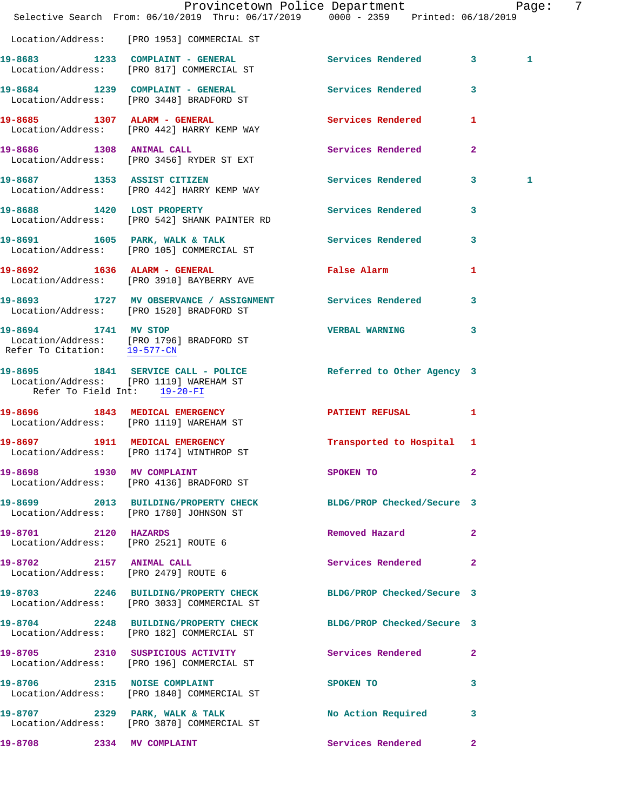|                                                                                                                                          |  |  |  |                            |  | Provincetown Police Department Fage: |              | 7 |
|------------------------------------------------------------------------------------------------------------------------------------------|--|--|--|----------------------------|--|--------------------------------------|--------------|---|
| Selective Search From: 06/10/2019 Thru: 06/17/2019 0000 - 2359 Printed: 06/18/2019                                                       |  |  |  |                            |  |                                      |              |   |
| Location/Address: [PRO 1953] COMMERCIAL ST                                                                                               |  |  |  |                            |  |                                      |              |   |
| 19-8683 1233 COMPLAINT - GENERAL<br>Location/Address: [PRO 817] COMMERCIAL ST                                                            |  |  |  |                            |  | Services Rendered 3                  | $\mathbf{1}$ |   |
| 19-8684 1239 COMPLAINT - GENERAL<br>Location/Address: [PRO 3448] BRADFORD ST                                                             |  |  |  | Services Rendered          |  | $\mathbf{3}$                         |              |   |
| 19-8685 1307 ALARM - GENERAL<br>Location/Address: [PRO 442] HARRY KEMP WAY                                                               |  |  |  | Services Rendered 1        |  |                                      |              |   |
| 19-8686 1308 ANIMAL CALL<br>Location/Address: [PRO 3456] RYDER ST EXT                                                                    |  |  |  | Services Rendered          |  | $\mathbf{2}$                         |              |   |
| 19-8687 1353 ASSIST CITIZEN<br>Location/Address: [PRO 442] HARRY KEMP WAY                                                                |  |  |  | Services Rendered 3        |  |                                      | 1            |   |
| 19-8688 1420 LOST PROPERTY<br>Location/Address: [PRO 542] SHANK PAINTER RD                                                               |  |  |  | <b>Services Rendered</b>   |  | 3                                    |              |   |
| 19-8691 1605 PARK, WALK & TALK<br>Location/Address: [PRO 105] COMMERCIAL ST                                                              |  |  |  | Services Rendered          |  | $\mathbf{3}$                         |              |   |
| 19-8692 1636 ALARM - GENERAL<br>Location/Address: [PRO 3910] BAYBERRY AVE                                                                |  |  |  | False Alarm                |  | $\mathbf{1}$                         |              |   |
| 19-8693 1727 MV OBSERVANCE / ASSIGNMENT Services Rendered<br>Location/Address: [PRO 1520] BRADFORD ST                                    |  |  |  |                            |  | $\mathbf{3}$                         |              |   |
| 19-8694 1741 MV STOP<br>Location/Address: [PRO 1796] BRADFORD ST<br>Refer To Citation: 19-577-CN                                         |  |  |  | VERBAL WARNING 3           |  |                                      |              |   |
| 19-8695 1841 SERVICE CALL - POLICE Referred to Other Agency 3<br>Location/Address: [PRO 1119] WAREHAM ST<br>Refer To Field Int: 19-20-FI |  |  |  |                            |  |                                      |              |   |
| 19-8696 1843 MEDICAL EMERGENCY<br>Location/Address: [PRO 1119] WAREHAM ST                                                                |  |  |  | PATIENT REFUSAL 1          |  |                                      |              |   |
| 19-8697 1911 MEDICAL EMERGENCY<br>Location/Address: [PRO 1174] WINTHROP ST                                                               |  |  |  | Transported to Hospital 1  |  |                                      |              |   |
| 19-8698 1930 MV COMPLAINT<br>Location/Address: [PRO 4136] BRADFORD ST                                                                    |  |  |  | SPOKEN TO                  |  | $\mathbf{2}$                         |              |   |
| 19-8699 2013 BUILDING/PROPERTY CHECK BLDG/PROP Checked/Secure 3<br>Location/Address: [PRO 1780] JOHNSON ST                               |  |  |  |                            |  |                                      |              |   |
| 19-8701 2120 HAZARDS<br>Location/Address: [PRO 2521] ROUTE 6                                                                             |  |  |  | Removed Hazard             |  | $\mathbf{2}$                         |              |   |
| 19-8702 2157 ANIMAL CALL<br>Location/Address: [PRO 2479] ROUTE 6                                                                         |  |  |  | Services Rendered          |  | $\mathbf{2}$                         |              |   |
| 19-8703 2246 BUILDING/PROPERTY CHECK<br>Location/Address: [PRO 3033] COMMERCIAL ST                                                       |  |  |  | BLDG/PROP Checked/Secure 3 |  |                                      |              |   |
| 19-8704 2248 BUILDING/PROPERTY CHECK<br>Location/Address: [PRO 182] COMMERCIAL ST                                                        |  |  |  | BLDG/PROP Checked/Secure 3 |  |                                      |              |   |
| 19-8705 2310 SUSPICIOUS ACTIVITY<br>Location/Address: [PRO 196] COMMERCIAL ST                                                            |  |  |  | Services Rendered 2        |  |                                      |              |   |
| 19-8706 2315 NOISE COMPLAINT<br>Location/Address: [PRO 1840] COMMERCIAL ST                                                               |  |  |  | SPOKEN TO                  |  | 3                                    |              |   |
| 19-8707 2329 PARK, WALK & TALK<br>Location/Address: [PRO 3870] COMMERCIAL ST                                                             |  |  |  | No Action Required         |  | 3                                    |              |   |
| 19-8708 2334 MV COMPLAINT                                                                                                                |  |  |  | Services Rendered 2        |  |                                      |              |   |
|                                                                                                                                          |  |  |  |                            |  |                                      |              |   |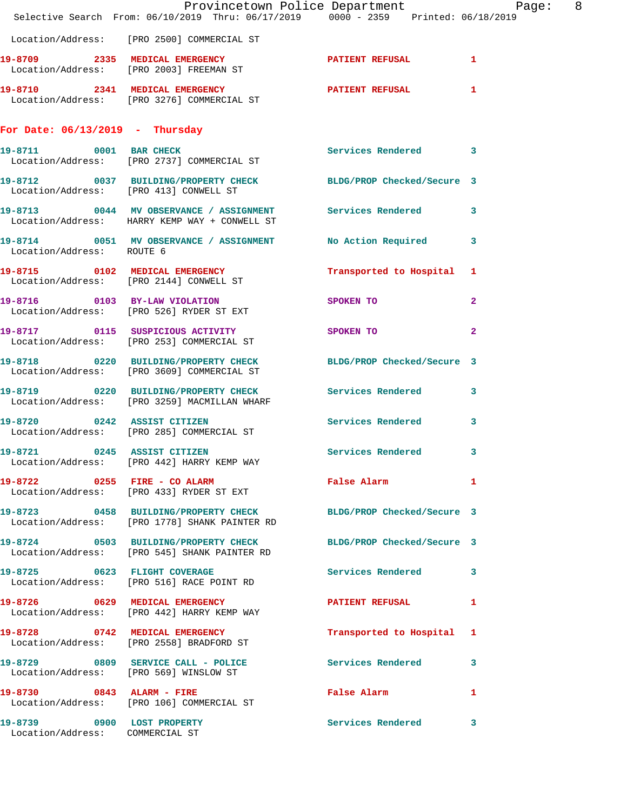|                                   | Provincetown Police Department Page: 8<br>Selective Search From: 06/10/2019 Thru: 06/17/2019   0000 - 2359   Printed: 06/18/2019 |                           |              |
|-----------------------------------|----------------------------------------------------------------------------------------------------------------------------------|---------------------------|--------------|
|                                   | Location/Address: [PRO 2500] COMMERCIAL ST                                                                                       |                           |              |
|                                   | 19-8709 2335 MEDICAL EMERGENCY PATIENT REFUSAL 1<br>Location/Address: [PRO 2003] FREEMAN ST                                      |                           |              |
|                                   | 19-8710 2341 MEDICAL EMERGENCY PATIENT REFUSAL 1<br>Location/Address: [PRO 3276] COMMERCIAL ST                                   |                           |              |
| For Date: $06/13/2019$ - Thursday |                                                                                                                                  |                           |              |
|                                   | 19-8711 0001 BAR CHECK<br>Location/Address: [PRO 2737] COMMERCIAL ST                                                             | Services Rendered 3       |              |
|                                   | 19-8712 0037 BUILDING/PROPERTY CHECK BLDG/PROP Checked/Secure 3<br>Location/Address: [PRO 413] CONWELL ST                        |                           |              |
|                                   | 19-8713 0044 MV OBSERVANCE / ASSIGNMENT Services Rendered 3<br>Location/Address: HARRY KEMP WAY + CONWELL ST                     |                           |              |
| Location/Address: ROUTE 6         | 19-8714 0051 MV OBSERVANCE / ASSIGNMENT No Action Required 3                                                                     |                           |              |
|                                   | 19-8715 0102 MEDICAL EMERGENCY<br>Location/Address: [PRO 2144] CONWELL ST                                                        | Transported to Hospital 1 |              |
|                                   | 19-8716 0103 BY-LAW VIOLATION<br>Location/Address: [PRO 526] RYDER ST EXT                                                        | SPOKEN TO                 | $\mathbf{2}$ |
|                                   | 19-8717 0115 SUSPICIOUS ACTIVITY<br>Location/Address: [PRO 253] COMMERCIAL ST                                                    | <b>SPOKEN TO</b>          | $\mathbf{2}$ |
|                                   | 19-8718 0220 BUILDING/PROPERTY CHECK BLDG/PROP Checked/Secure 3<br>Location/Address: [PRO 3609] COMMERCIAL ST                    |                           |              |
|                                   | 19-8719 		 0220 BUILDING/PROPERTY CHECK Services Rendered 3<br>Location/Address: [PRO 3259] MACMILLAN WHARF                      |                           |              |
|                                   | 19-8720 0242 ASSIST CITIZEN<br>Location/Address: [PRO 285] COMMERCIAL ST                                                         | Services Rendered         | 3            |
| 19-8721                           | 0245 ASSIST CITIZEN<br>Location/Address: [PRO 442] HARRY KEMP WAY                                                                | Services Rendered 3       |              |
|                                   | 19-8722 0255 FIRE - CO ALARM<br>Location/Address: [PRO 433] RYDER ST EXT                                                         | False Alarm 1             |              |
|                                   | 19-8723 0458 BUILDING/PROPERTY CHECK BLDG/PROP Checked/Secure 3<br>Location/Address: [PRO 1778] SHANK PAINTER RD                 |                           |              |
|                                   | 19-8724 0503 BUILDING/PROPERTY CHECK BLDG/PROP Checked/Secure 3<br>Location/Address: [PRO 545] SHANK PAINTER RD                  |                           |              |
|                                   | 19-8725 0623 FLIGHT COVERAGE<br>Location/Address: [PRO 516] RACE POINT RD                                                        | Services Rendered 3       |              |
|                                   | 19-8726 0629 MEDICAL EMERGENCY<br>Location/Address: [PRO 442] HARRY KEMP WAY                                                     | PATIENT REFUSAL 1         |              |
|                                   | 19-8728 0742 MEDICAL EMERGENCY<br>Location/Address: [PRO 2558] BRADFORD ST                                                       | Transported to Hospital 1 |              |
|                                   | 19-8729 0809 SERVICE CALL - POLICE Services Rendered 3<br>Location/Address: [PRO 569] WINSLOW ST                                 |                           |              |
|                                   | 19-8730 0843 ALARM - FIRE<br>Location/Address: [PRO 106] COMMERCIAL ST                                                           | False Alarm 1             |              |
| Location/Address: COMMERCIAL ST   | 19-8739 0900 LOST PROPERTY                                                                                                       | Services Rendered 3       |              |
|                                   |                                                                                                                                  |                           |              |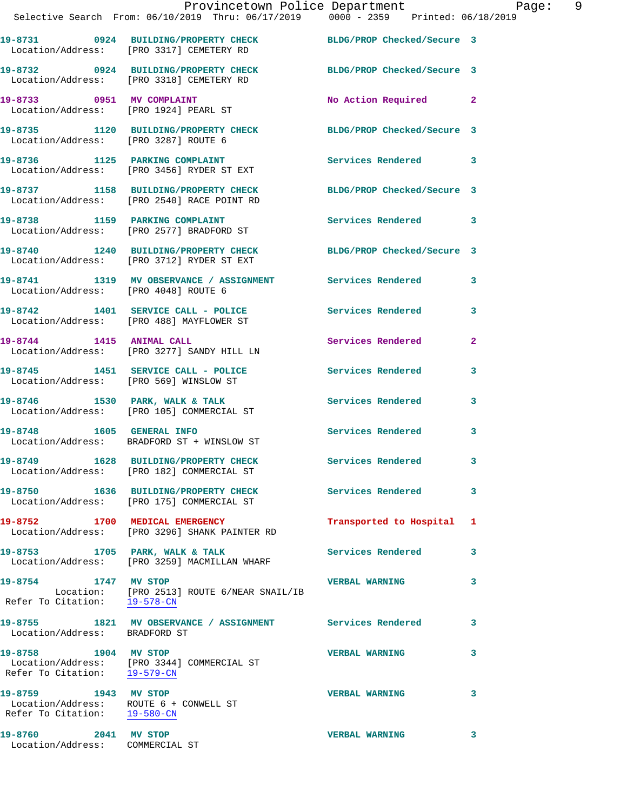|                                                      | Provincetown Police Department<br>Selective Search From: $06/10/2019$ Thru: $06/17/2019$ 0000 - 2359 Printed: $06/18/2019$ |                           | Page: 9      |
|------------------------------------------------------|----------------------------------------------------------------------------------------------------------------------------|---------------------------|--------------|
|                                                      | 19-8731 0924 BUILDING/PROPERTY CHECK BLDG/PROP Checked/Secure 3<br>Location/Address: [PRO 3317] CEMETERY RD                |                           |              |
|                                                      | 19-8732 0924 BUILDING/PROPERTY CHECK BLDG/PROP Checked/Secure 3<br>Location/Address: [PRO 3318] CEMETERY RD                |                           |              |
|                                                      | 19-8733 0951 MV COMPLAINT<br>Location/Address: [PRO 1924] PEARL ST                                                         | No Action Required 2      |              |
|                                                      | 19-8735 1120 BUILDING/PROPERTY CHECK BLDG/PROP Checked/Secure 3<br>Location/Address: [PRO 3287] ROUTE 6                    |                           |              |
|                                                      |                                                                                                                            | Services Rendered 3       |              |
|                                                      | 19-8737 1158 BUILDING/PROPERTY CHECK BLDG/PROP Checked/Secure 3<br>Location/Address: [PRO 2540] RACE POINT RD              |                           |              |
|                                                      | 19-8738 1159 PARKING COMPLAINT<br>Location/Address: [PRO 2577] BRADFORD ST                                                 | Services Rendered 3       |              |
|                                                      | 19-8740 1240 BUILDING/PROPERTY CHECK BLDG/PROP Checked/Secure 3<br>Location/Address: [PRO 3712] RYDER ST EXT               |                           |              |
| Location/Address: [PRO 4048] ROUTE 6                 | 19-8741 1319 MV OBSERVANCE / ASSIGNMENT Services Rendered                                                                  |                           | 3            |
|                                                      | 19-8742 1401 SERVICE CALL - POLICE 3 Services Rendered 3<br>Location/Address: [PRO 488] MAYFLOWER ST                       |                           |              |
|                                                      | 19-8744 1415 ANIMAL CALL<br>Location/Address: [PRO 3277] SANDY HILL LN                                                     | Services Rendered         | $\mathbf{2}$ |
|                                                      | 19-8745 1451 SERVICE CALL - POLICE Services Rendered<br>Location/Address: [PRO 569] WINSLOW ST                             |                           | 3            |
|                                                      | 19-8746 1530 PARK, WALK & TALK 1999 Services Rendered Execution (Address: [PRO 105] COMMERCIAL ST                          |                           | 3            |
| 19-8748 1605 GENERAL INFO                            | Location/Address: BRADFORD ST + WINSLOW ST                                                                                 | Services Rendered         | 3            |
|                                                      | 19-8749 1628 BUILDING/PROPERTY CHECK<br>Location/Address: [PRO 182] COMMERCIAL ST                                          | <b>Services Rendered</b>  | 3            |
|                                                      | 19-8750 1636 BUILDING/PROPERTY CHECK<br>Location/Address: [PRO 175] COMMERCIAL ST                                          | <b>Services Rendered</b>  | 3            |
|                                                      | 19-8752 1700 MEDICAL EMERGENCY<br>Location/Address: [PRO 3296] SHANK PAINTER RD                                            | Transported to Hospital 1 |              |
|                                                      | 19-8753 1705 PARK, WALK & TALK<br>Location/Address: [PRO 3259] MACMILLAN WHARF                                             | <b>Services Rendered</b>  | 3            |
| 19-8754 1747 MV STOP<br>Refer To Citation: 19-578-CN | Location: [PRO 2513] ROUTE 6/NEAR SNAIL/IB                                                                                 | <b>VERBAL WARNING</b>     | 3            |
| Location/Address: BRADFORD ST                        | 19-8755 1821 MV OBSERVANCE / ASSIGNMENT Services Rendered                                                                  |                           | 3            |
| 19-8758 1904 MV STOP<br>Refer To Citation: 19-579-CN | Location/Address: [PRO 3344] COMMERCIAL ST                                                                                 | <b>VERBAL WARNING</b>     | 3            |
| 19-8759 1943 MV STOP<br>Refer To Citation: 19-580-CN | Location/Address: ROUTE 6 + CONWELL ST                                                                                     | <b>VERBAL WARNING</b>     | 3            |
|                                                      |                                                                                                                            |                           |              |

**19-8760 2041 MV STOP VERBAL WARNING 3**  Location/Address: COMMERCIAL ST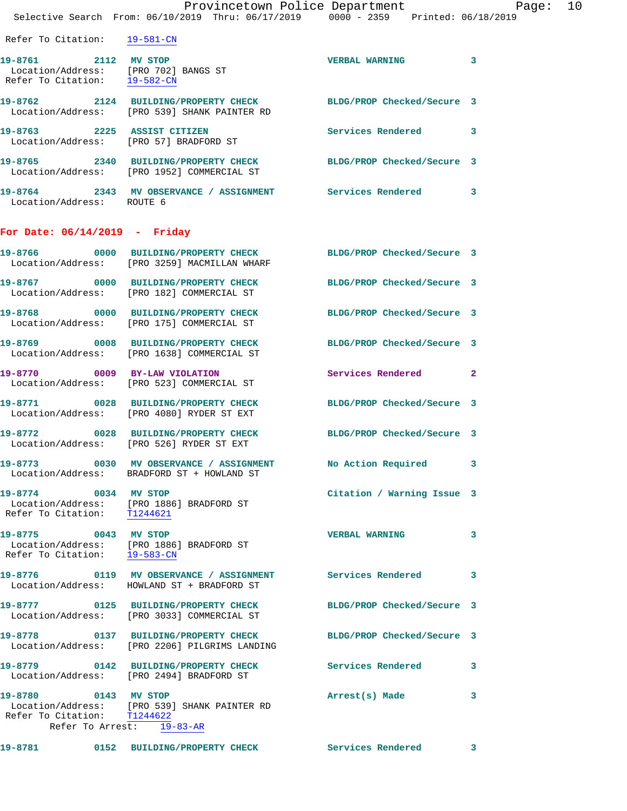|                                                     | Provincetown Police Department<br>Selective Search From: 06/10/2019 Thru: 06/17/2019 0000 - 2359 Printed: 06/18/2019 |                            |   |
|-----------------------------------------------------|----------------------------------------------------------------------------------------------------------------------|----------------------------|---|
| Refer To Citation: 19-581-CN                        |                                                                                                                      |                            |   |
| 19-8761 2112 MV STOP                                | Location/Address: [PRO 702] BANGS ST<br>Refer To Citation: 19-582-CN                                                 | VERBAL WARNING 3           |   |
|                                                     | 19-8762 2124 BUILDING/PROPERTY CHECK BLDG/PROP Checked/Secure 3<br>Location/Address: [PRO 539] SHANK PAINTER RD      |                            |   |
|                                                     | 19-8763 2225 ASSIST CITIZEN<br>Location/Address: [PRO 57] BRADFORD ST                                                | Services Rendered 3        |   |
|                                                     | 19-8765 2340 BUILDING/PROPERTY CHECK BLDG/PROP Checked/Secure 3<br>Location/Address: [PRO 1952] COMMERCIAL ST        |                            |   |
| Location/Address: ROUTE 6                           | 19-8764 2343 MV OBSERVANCE / ASSIGNMENT Services Rendered 3                                                          |                            |   |
| For Date: $06/14/2019$ - Friday                     |                                                                                                                      |                            |   |
|                                                     | 19-8766 0000 BUILDING/PROPERTY CHECK BLDG/PROP Checked/Secure 3<br>Location/Address: [PRO 3259] MACMILLAN WHARF      |                            |   |
|                                                     | 19-8767 0000 BUILDING/PROPERTY CHECK<br>Location/Address: [PRO 182] COMMERCIAL ST                                    | BLDG/PROP Checked/Secure 3 |   |
|                                                     | 19-8768 0000 BUILDING/PROPERTY CHECK BLDG/PROP Checked/Secure 3<br>Location/Address: [PRO 175] COMMERCIAL ST         |                            |   |
|                                                     | 19-8769 0008 BUILDING/PROPERTY CHECK<br>Location/Address: [PRO 1638] COMMERCIAL ST                                   | BLDG/PROP Checked/Secure 3 |   |
|                                                     | 19-8770 0009 BY-LAW VIOLATION<br>Location/Address: [PRO 523] COMMERCIAL ST                                           | Services Rendered 2        |   |
|                                                     | 19-8771 0028 BUILDING/PROPERTY CHECK BLDG/PROP Checked/Secure 3<br>Location/Address: [PRO 4080] RYDER ST EXT         |                            |   |
|                                                     | 19-8772 0028 BUILDING/PROPERTY CHECK BLDG/PROP Checked/Secure 3<br>Location/Address: [PRO 526] RYDER ST EXT          |                            |   |
|                                                     | 19-8773 0030 MV OBSERVANCE / ASSIGNMENT<br>Location/Address: BRADFORD ST + HOWLAND ST                                | No Action Required 3       |   |
| 19-8774 0034 MV STOP<br>Refer To Citation: T1244621 | Location/Address: [PRO 1886] BRADFORD ST                                                                             | Citation / Warning Issue 3 |   |
| 19-8775 0043 MV STOP                                | Location/Address: [PRO 1886] BRADFORD ST<br>Refer To Citation: 19-583-CN                                             | <b>VERBAL WARNING</b>      | 3 |
|                                                     | 19-8776  0119 MV OBSERVANCE / ASSIGNMENT Services Rendered 3<br>Location/Address: HOWLAND ST + BRADFORD ST           |                            |   |
|                                                     | 19-8777 0125 BUILDING/PROPERTY CHECK<br>Location/Address: [PRO 3033] COMMERCIAL ST                                   | BLDG/PROP Checked/Secure 3 |   |
|                                                     | 19-8778 0137 BUILDING/PROPERTY CHECK<br>Location/Address: [PRO 2206] PILGRIMS LANDING                                | BLDG/PROP Checked/Secure 3 |   |
|                                                     | 19-8779 0142 BUILDING/PROPERTY CHECK<br>Location/Address: [PRO 2494] BRADFORD ST                                     | Services Rendered          | 3 |
| 19-8780 0143 MV STOP<br>Refer To Citation: T1244622 | Location/Address: [PRO 539] SHANK PAINTER RD<br>Refer To Arrest: 19-83-AR                                            | Arrest(s) Made             | 3 |

**19-8781 0152 BUILDING/PROPERTY CHECK Services Rendered 3**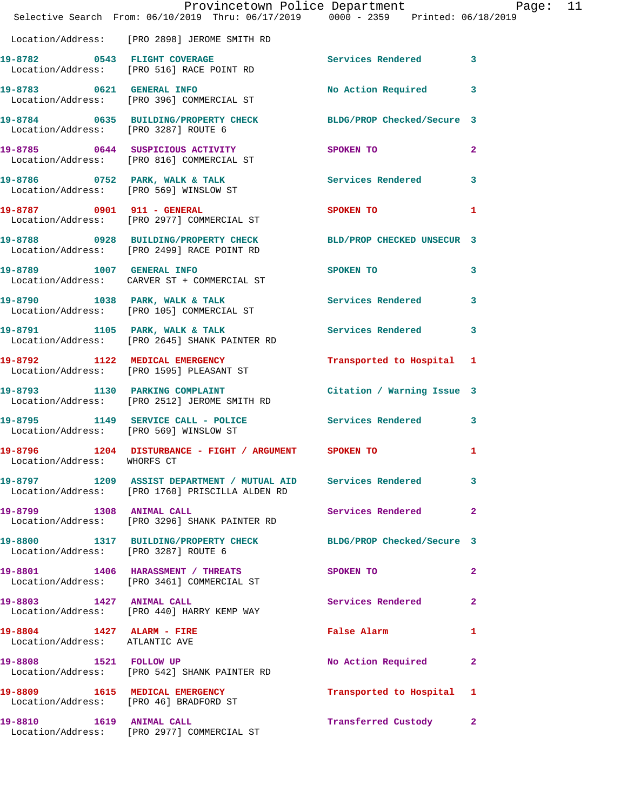|                                                             | Provincetown Police Department Page: 11<br>Selective Search From: 06/10/2019 Thru: 06/17/2019 0000 - 2359 Printed: 06/18/2019 |                                             |              |  |
|-------------------------------------------------------------|-------------------------------------------------------------------------------------------------------------------------------|---------------------------------------------|--------------|--|
|                                                             | Location/Address: [PRO 2898] JEROME SMITH RD                                                                                  |                                             |              |  |
|                                                             | 19-8782 0543 FLIGHT COVERAGE<br>Location/Address: [PRO 516] RACE POINT RD                                                     | Services Rendered 3                         |              |  |
|                                                             | 19-8783 0621 GENERAL INFO<br>Location/Address: [PRO 396] COMMERCIAL ST                                                        | No Action Required 3                        |              |  |
| Location/Address: [PRO 3287] ROUTE 6                        | 19-8784 0635 BUILDING/PROPERTY CHECK BLDG/PROP Checked/Secure 3                                                               |                                             |              |  |
|                                                             | 19-8785 0644 SUSPICIOUS ACTIVITY<br>Location/Address: [PRO 816] COMMERCIAL ST                                                 | SPOKEN TO                                   | $\mathbf{2}$ |  |
|                                                             | 19-8786 0752 PARK, WALK & TALK 1998 Services Rendered 3<br>Location/Address: [PRO 569] WINSLOW ST                             |                                             |              |  |
|                                                             | 19-8787 0901 911 - GENERAL<br>Location/Address: [PRO 2977] COMMERCIAL ST                                                      | SPOKEN TO                                   | 1            |  |
|                                                             | 19-8788 0928 BUILDING/PROPERTY CHECK BLD/PROP CHECKED UNSECUR 3<br>Location/Address: [PRO 2499] RACE POINT RD                 |                                             |              |  |
|                                                             | 19-8789 1007 GENERAL INFO<br>Location/Address: CARVER ST + COMMERCIAL ST                                                      | SPOKEN TO                                   | 3            |  |
|                                                             | 19-8790 1038 PARK, WALK & TALK 1998 Services Rendered 3<br>Location/Address: [PRO 105] COMMERCIAL ST                          |                                             |              |  |
|                                                             | 19-8791 1105 PARK, WALK & TALK 1998 Services Rendered 3<br>Location/Address: [PRO 2645] SHANK PAINTER RD                      |                                             |              |  |
|                                                             | 19-8792 1122 MEDICAL EMERGENCY<br>Location/Address: [PRO 1595] PLEASANT ST                                                    | Transported to Hospital 1                   |              |  |
|                                                             | 19-8793 1130 PARKING COMPLAINT Contract Citation / Warning Issue 3<br>Location/Address: [PRO 2512] JEROME SMITH RD            |                                             |              |  |
| Location/Address: [PRO 569] WINSLOW ST                      | 19-8795 1149 SERVICE CALL - POLICE 3 Services Rendered 3                                                                      |                                             |              |  |
| Location/Address: WHORFS CT                                 | 19-8796 1204 DISTURBANCE - FIGHT / ARGUMENT SPOKEN TO                                                                         |                                             | 1            |  |
|                                                             | 19-8797 1209 ASSIST DEPARTMENT / MUTUAL AID Services Rendered 3<br>Location/Address: [PRO 1760] PRISCILLA ALDEN RD            |                                             |              |  |
| 19-8799 1308 ANIMAL CALL                                    | Location/Address: [PRO 3296] SHANK PAINTER RD                                                                                 | Services Rendered                           | $\mathbf{2}$ |  |
| Location/Address: [PRO 3287] ROUTE 6                        | 19-8800 1317 BUILDING/PROPERTY CHECK BLDG/PROP Checked/Secure 3                                                               |                                             |              |  |
|                                                             | 19-8801 1406 HARASSMENT / THREATS<br>Location/Address: [PRO 3461] COMMERCIAL ST                                               | <b>SPOKEN TO</b>                            | $\mathbf{2}$ |  |
|                                                             | 19-8803 1427 ANIMAL CALL<br>Location/Address: [PRO 440] HARRY KEMP WAY                                                        | Services Rendered                           | 2            |  |
| 19-8804 1427 ALARM - FIRE<br>Location/Address: ATLANTIC AVE |                                                                                                                               | False Alarm <b>Exercise Service Service</b> | -1           |  |
|                                                             | 19-8808 1521 FOLLOW UP<br>Location/Address: [PRO 542] SHANK PAINTER RD                                                        | No Action Required                          | $\mathbf{2}$ |  |
|                                                             | 19-8809 1615 MEDICAL EMERGENCY<br>Location/Address: [PRO 46] BRADFORD ST                                                      | Transported to Hospital 1                   |              |  |
|                                                             | 19-8810 1619 ANIMAL CALL<br>Location/Address: [PRO 2977] COMMERCIAL ST                                                        | Transferred Custody 2                       |              |  |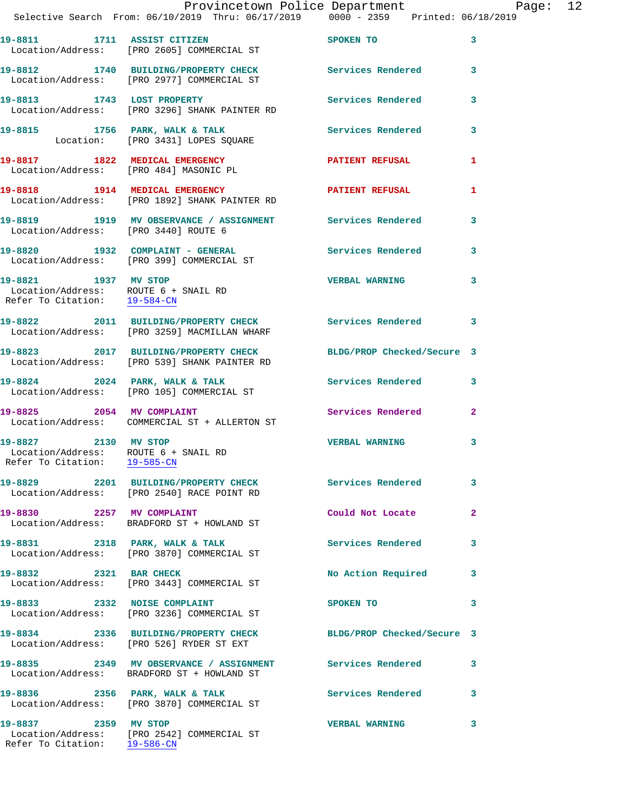|                              | Provincetown Police Department Page: 12<br>Selective Search From: 06/10/2019 Thru: 06/17/2019   0000 - 2359   Printed: 06/18/2019 |                       |                         |  |
|------------------------------|-----------------------------------------------------------------------------------------------------------------------------------|-----------------------|-------------------------|--|
|                              | 19-8811 1711 ASSIST CITIZEN SPOKEN TO<br>Location/Address: [PRO 2605] COMMERCIAL ST                                               |                       | $\sim$ 3                |  |
|                              | 19-8812 1740 BUILDING/PROPERTY CHECK Services Rendered 3<br>Location/Address: [PRO 2977] COMMERCIAL ST                            |                       |                         |  |
|                              | 19-8813 1743 LOST PROPERTY<br>Location/Address: [PRO 3296] SHANK PAINTER RD                                                       | Services Rendered 3   |                         |  |
|                              | 19-8815 1756 PARK, WALK & TALK (Services Rendered 3<br>Location: [PRO 3431] LOPES SQUARE                                          |                       |                         |  |
|                              | 19-8817 1822 MEDICAL EMERGENCY PATIENT REFUSAL<br>Location/Address: [PRO 484] MASONIC PL                                          |                       | $\mathbf{1}$            |  |
|                              | 19-8818 1914 MEDICAL EMERGENCY 1997 PATIENT REFUSAL<br>Location/Address: [PRO 1892] SHANK PAINTER RD                              |                       | 1                       |  |
|                              | 19-8819 1919 MV OBSERVANCE / ASSIGNMENT Services Rendered 3<br>Location/Address: [PRO 3440] ROUTE 6                               |                       |                         |  |
|                              | 19-8820 1932 COMPLAINT - GENERAL Services Rendered 3<br>Location/Address: [PRO 399] COMMERCIAL ST                                 |                       |                         |  |
| Refer To Citation: 19-584-CN | 19-8821 1937 MV STOP<br>Location/Address: ROUTE 6 + SNAIL RD                                                                      | VERBAL WARNING 3      |                         |  |
|                              | 19-8822 2011 BUILDING/PROPERTY CHECK Services Rendered 3<br>Location/Address: [PRO 3259] MACMILLAN WHARF                          |                       |                         |  |
|                              | 19-8823 2017 BUILDING/PROPERTY CHECK BLDG/PROP Checked/Secure 3<br>Location/Address: [PRO 539] SHANK PAINTER RD                   |                       |                         |  |
|                              | 19-8824 2024 PARK, WALK & TALK 3 Services Rendered 3<br>Location/Address: [PRO 105] COMMERCIAL ST                                 |                       |                         |  |
|                              | 19-8825 2054 MV COMPLAINT Services Rendered 2<br>Location/Address: COMMERCIAL ST + ALLERTON ST                                    |                       |                         |  |
| Refer To Citation: 19-585-CN | 19-8827 2130 MV STOP<br>Location/Address: ROUTE 6 + SNAIL RD                                                                      | <b>VERBAL WARNING</b> | 3                       |  |
|                              | 19-8829 2201 BUILDING/PROPERTY CHECK Services Rendered 3<br>Location/Address: [PRO 2540] RACE POINT RD                            |                       |                         |  |
|                              | 19-8830 2257 MV COMPLAINT<br>Location/Address: BRADFORD ST + HOWLAND ST                                                           | Could Not Locate      | $\mathbf{2}$            |  |
|                              | 19-8831 2318 PARK, WALK & TALK<br>Location/Address: [PRO 3870] COMMERCIAL ST                                                      | Services Rendered 3   |                         |  |
|                              | 19-8832 2321 BAR CHECK<br>Location/Address: [PRO 3443] COMMERCIAL ST                                                              | No Action Required 3  |                         |  |
|                              | 19-8833 2332 NOISE COMPLAINT<br>Location/Address: [PRO 3236] COMMERCIAL ST                                                        | <b>SPOKEN TO</b>      | $\overline{\mathbf{3}}$ |  |
|                              | 19-8834 2336 BUILDING/PROPERTY CHECK BLDG/PROP Checked/Secure 3<br>Location/Address: [PRO 526] RYDER ST EXT                       |                       |                         |  |
|                              | 19-8835 2349 MV OBSERVANCE / ASSIGNMENT Services Rendered 3<br>Location/Address: BRADFORD ST + HOWLAND ST                         |                       |                         |  |
|                              | 19-8836 2356 PARK, WALK & TALK<br>Location/Address: [PRO 3870] COMMERCIAL ST                                                      | Services Rendered 3   |                         |  |
| 19-8837 2359 MV STOP         | Location/Address: [PRO 2542] COMMERCIAL ST                                                                                        | <b>VERBAL WARNING</b> | 3                       |  |

Refer To Citation: 19-586-CN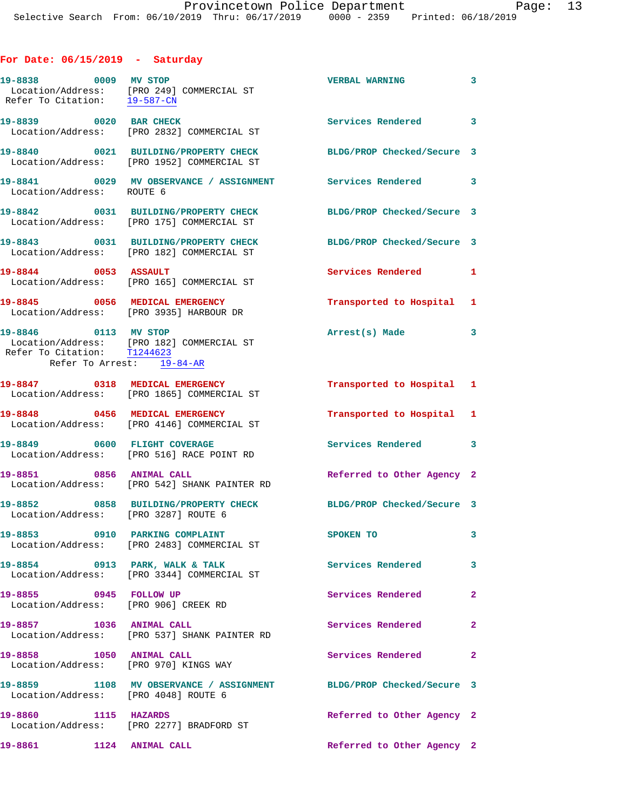## **For Date: 06/15/2019 - Saturday**

| 19-8838 0009 MV STOP                                                             | Location/Address: [PRO 249] COMMERCIAL ST<br>Refer To Citation: 19-587-CN          | <b>VERBAL WARNING</b>      | $\overline{\mathbf{3}}$    |
|----------------------------------------------------------------------------------|------------------------------------------------------------------------------------|----------------------------|----------------------------|
| 19-8839 0020 BAR CHECK                                                           | Location/Address: [PRO 2832] COMMERCIAL ST                                         | Services Rendered 3        |                            |
|                                                                                  | 19-8840 0021 BUILDING/PROPERTY CHECK<br>Location/Address: [PRO 1952] COMMERCIAL ST | BLDG/PROP Checked/Secure 3 |                            |
| Location/Address: ROUTE 6                                                        | 19-8841 0029 MV OBSERVANCE / ASSIGNMENT Services Rendered 3                        |                            |                            |
|                                                                                  | 19-8842 0031 BUILDING/PROPERTY CHECK<br>Location/Address: [PRO 175] COMMERCIAL ST  | BLDG/PROP Checked/Secure 3 |                            |
|                                                                                  | 19-8843 0031 BUILDING/PROPERTY CHECK<br>Location/Address: [PRO 182] COMMERCIAL ST  | BLDG/PROP Checked/Secure 3 |                            |
| 19-8844 0053 ASSAULT                                                             | Location/Address: [PRO 165] COMMERCIAL ST                                          | Services Rendered          | 1                          |
|                                                                                  | 19-8845 0056 MEDICAL EMERGENCY<br>Location/Address: [PRO 3935] HARBOUR DR          | Transported to Hospital 1  |                            |
| 19-8846 0113 MV STOP<br>Refer To Citation: T1244623<br>Refer To Arrest: 19-84-AR | Location/Address: [PRO 182] COMMERCIAL ST                                          | Arrest(s) Made 3           |                            |
|                                                                                  | 19-8847 0318 MEDICAL EMERGENCY<br>Location/Address: [PRO 1865] COMMERCIAL ST       | Transported to Hospital 1  |                            |
|                                                                                  | 19-8848 0456 MEDICAL EMERGENCY<br>Location/Address: [PRO 4146] COMMERCIAL ST       | Transported to Hospital 1  |                            |
|                                                                                  | 19-8849 0600 FLIGHT COVERAGE<br>Location/Address: [PRO 516] RACE POINT RD          | Services Rendered 3        |                            |
| 19-8851 0856 ANIMAL CALL                                                         | Location/Address: [PRO 542] SHANK PAINTER RD                                       | Referred to Other Agency 2 |                            |
| Location/Address: [PRO 3287] ROUTE 6                                             | 19-8852 0858 BUILDING/PROPERTY CHECK                                               | BLDG/PROP Checked/Secure 3 |                            |
|                                                                                  | 19-8853 0910 PARKING COMPLAINT<br>Location/Address: [PRO 2483] COMMERCIAL ST       | SPOKEN TO                  |                            |
| 19-8854 0913 PARK, WALK & TALK                                                   | Location/Address: [PRO 3344] COMMERCIAL ST                                         | <b>Services Rendered</b>   | $\overline{\phantom{a}}$ 3 |
| 19-8855 0945 FOLLOW UP<br>Location/Address: [PRO 906] CREEK RD                   |                                                                                    | Services Rendered          | $\mathbf{2}$               |
| 19-8857 1036 ANIMAL CALL                                                         | Location/Address: [PRO 537] SHANK PAINTER RD                                       | Services Rendered          | $\mathbf{2}$               |
| 19-8858 1050 ANIMAL CALL                                                         | Location/Address: [PRO 970] KINGS WAY                                              | Services Rendered 2        |                            |
| Location/Address: [PRO 4048] ROUTE 6                                             | 19-8859 1108 MV OBSERVANCE / ASSIGNMENT BLDG/PROP Checked/Secure 3                 |                            |                            |
| 1115 HAZARDS<br>19-8860                                                          | Location/Address: [PRO 2277] BRADFORD ST                                           | Referred to Other Agency 2 |                            |
| 19-8861 1124 ANIMAL CALL                                                         |                                                                                    | Referred to Other Agency 2 |                            |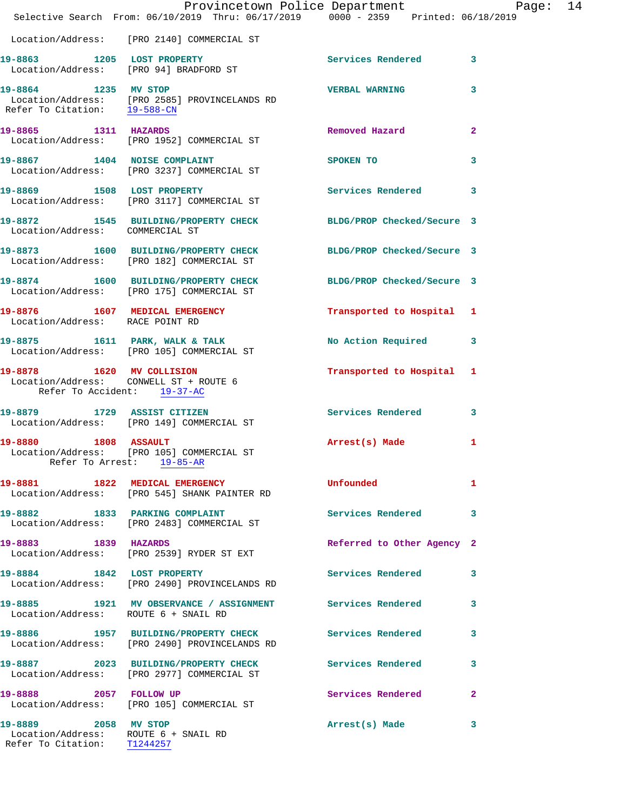|                                                                                             | Provincetown Police Department The Mage: 14<br>Selective Search From: 06/10/2019 Thru: 06/17/2019 0000 - 2359 Printed: 06/18/2019 |                            |              |  |
|---------------------------------------------------------------------------------------------|-----------------------------------------------------------------------------------------------------------------------------------|----------------------------|--------------|--|
|                                                                                             | Location/Address: [PRO 2140] COMMERCIAL ST                                                                                        |                            |              |  |
|                                                                                             | 19-8863 1205 LOST PROPERTY<br>Location/Address: [PRO 94] BRADFORD ST                                                              | Services Rendered 3        |              |  |
| 19-8864 1235 MV STOP                                                                        | Location/Address: [PRO 2585] PROVINCELANDS RD<br>Refer To Citation: 19-588-CN                                                     | VERBAL WARNING 3           |              |  |
| 19-8865 1311 HAZARDS                                                                        | Location/Address: [PRO 1952] COMMERCIAL ST                                                                                        | Removed Hazard             | $\mathbf{2}$ |  |
|                                                                                             | 19-8867 1404 NOISE COMPLAINT<br>Location/Address: [PRO 3237] COMMERCIAL ST                                                        | <b>SPOKEN TO</b>           | 3            |  |
|                                                                                             | 19-8869 1508 LOST PROPERTY<br>Location/Address: [PRO 3117] COMMERCIAL ST                                                          | Services Rendered 3        |              |  |
| Location/Address: COMMERCIAL ST                                                             | 19-8872 1545 BUILDING/PROPERTY CHECK BLDG/PROP Checked/Secure 3                                                                   |                            |              |  |
|                                                                                             | 19-8873 1600 BUILDING/PROPERTY CHECK BLDG/PROP Checked/Secure 3<br>Location/Address: [PRO 182] COMMERCIAL ST                      |                            |              |  |
|                                                                                             | 19-8874 1600 BUILDING/PROPERTY CHECK<br>Location/Address: [PRO 175] COMMERCIAL ST                                                 | BLDG/PROP Checked/Secure 3 |              |  |
| Location/Address: RACE POINT RD                                                             | 19-8876 1607 MEDICAL EMERGENCY                                                                                                    | Transported to Hospital 1  |              |  |
|                                                                                             | 19-8875 1611 PARK, WALK & TALK<br>Location/Address: [PRO 105] COMMERCIAL ST                                                       | No Action Required 3       |              |  |
| Refer To Accident: 19-37-AC                                                                 | 19-8878 1620 MV COLLISION<br>Location/Address: CONWELL ST + ROUTE 6                                                               | Transported to Hospital 1  |              |  |
|                                                                                             | 19-8879 1729 ASSIST CITIZEN<br>Location/Address: [PRO 149] COMMERCIAL ST                                                          | Services Rendered 3        |              |  |
| 19-8880 1808 ASSAULT                                                                        | Location/Address: [PRO 105] COMMERCIAL ST<br>Refer To Arrest: 19-85-AR                                                            | Arrest(s) Made 1           |              |  |
|                                                                                             | 19-8881 1822 MEDICAL EMERGENCY<br>Location/Address: [PRO 545] SHANK PAINTER RD                                                    | Unfounded                  | 1            |  |
|                                                                                             | 19-8882 1833 PARKING COMPLAINT<br>Location/Address: [PRO 2483] COMMERCIAL ST                                                      | Services Rendered 3        |              |  |
| 19-8883 1839 HAZARDS                                                                        | Location/Address: [PRO 2539] RYDER ST EXT                                                                                         | Referred to Other Agency 2 |              |  |
| 19-8884 1842 LOST PROPERTY                                                                  | Location/Address: [PRO 2490] PROVINCELANDS RD                                                                                     | Services Rendered 3        |              |  |
| Location/Address: ROUTE 6 + SNAIL RD                                                        | 19-8885 1921 MV OBSERVANCE / ASSIGNMENT Services Rendered                                                                         |                            | 3            |  |
|                                                                                             | 19-8886 1957 BUILDING/PROPERTY CHECK<br>Location/Address: [PRO 2490] PROVINCELANDS RD                                             | Services Rendered          | 3            |  |
|                                                                                             | 19-8887 2023 BUILDING/PROPERTY CHECK<br>Location/Address: [PRO 2977] COMMERCIAL ST                                                | Services Rendered          | 3            |  |
|                                                                                             | 19-8888 2057 FOLLOW UP<br>Location/Address: [PRO 105] COMMERCIAL ST                                                               | Services Rendered          | $\mathbf{2}$ |  |
| 19-8889 2058 MV STOP<br>Location/Address: ROUTE 6 + SNAIL RD<br>Refer To Citation: T1244257 |                                                                                                                                   | Arrest(s) Made             | 3            |  |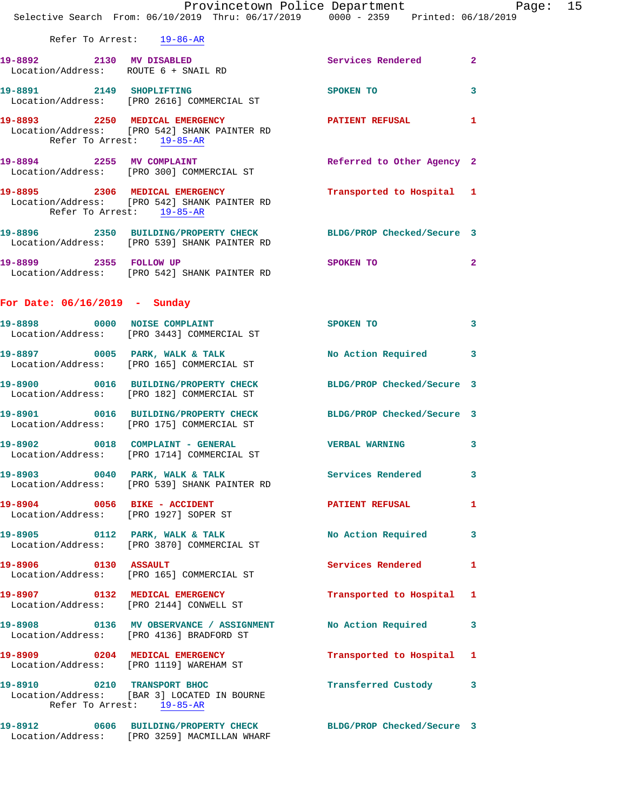|                                 | Selective Search From: 06/10/2019 Thru: 06/17/2019 0000 - 2359 Printed: 06/18/2019                                                                     |                            |                |
|---------------------------------|--------------------------------------------------------------------------------------------------------------------------------------------------------|----------------------------|----------------|
| Refer To Arrest: 19-86-AR       |                                                                                                                                                        |                            |                |
| 19-8892 2130 MV DISABLED        | Location/Address: ROUTE 6 + SNAIL RD                                                                                                                   | Services Rendered          | $\mathbf{2}$   |
|                                 | 19-8891 2149 SHOPLIFTING<br>Location/Address: [PRO 2616] COMMERCIAL ST                                                                                 | SPOKEN TO                  | 3              |
|                                 | 19-8893 2250 MEDICAL EMERGENCY<br>Location/Address: [PRO 542] SHANK PAINTER RD<br>Refer To Arrest: 19-85-AR                                            | PATIENT REFUSAL 1          |                |
|                                 | 19-8894 2255 MV COMPLAINT<br>Location/Address: [PRO 300] COMMERCIAL ST                                                                                 | Referred to Other Agency 2 |                |
| Refer To Arrest: 19-85-AR       | 19-8895 2306 MEDICAL EMERGENCY Transported to Hospital 1<br>Location/Address: [PRO 542] SHANK PAINTER RD                                               |                            |                |
|                                 | 19-8896 2350 BUILDING/PROPERTY CHECK BLDG/PROP Checked/Secure 3<br>Location/Address: [PRO 539] SHANK PAINTER RD                                        |                            |                |
| 19-8899 2355 FOLLOW UP          | Location/Address: [PRO 542] SHANK PAINTER RD                                                                                                           | SPOKEN TO                  | $\overline{2}$ |
| For Date: $06/16/2019$ - Sunday |                                                                                                                                                        |                            |                |
|                                 | 19-8898 0000 NOISE COMPLAINT<br>Location/Address: [PRO 3443] COMMERCIAL ST                                                                             | SPOKEN TO                  | 3              |
|                                 | 19-8897 0005 PARK, WALK & TALK<br>Location/Address: [PRO 165] COMMERCIAL ST                                                                            | No Action Required         | 3              |
|                                 | 19-8900 0016 BUILDING/PROPERTY CHECK BLDG/PROP Checked/Secure 3<br>Location/Address: [PRO 182] COMMERCIAL ST                                           |                            |                |
|                                 | 19-8901 0016 BUILDING/PROPERTY CHECK BLDG/PROP Checked/Secure 3<br>Location/Address: [PRO 175] COMMERCIAL ST                                           |                            |                |
|                                 | 19-8902 0018 COMPLAINT - GENERAL COMPLAINT - GENERAL COMPLAINT - GENERAL COMPLAINT - CHRISTIAN COMPLAINT<br>Location/Address: [PRO 1714] COMMERCIAL ST |                            | 3              |
|                                 | 19-8903 0040 PARK, WALK & TALK<br>Location/Address: [PRO 539] SHANK PAINTER RD                                                                         | Services Rendered          | 3              |
|                                 | 19-8904 0056 BIKE - ACCIDENT<br>Location/Address: [PRO 1927] SOPER ST                                                                                  | PATIENT REFUSAL            | 1              |
|                                 | 19-8905 0112 PARK, WALK & TALK No Action Required<br>Location/Address: [PRO 3870] COMMERCIAL ST                                                        |                            | 3              |
| 19-8906 0130 ASSAULT            | Location/Address: [PRO 165] COMMERCIAL ST                                                                                                              | Services Rendered          | 1              |
|                                 | 19-8907 0132 MEDICAL EMERGENCY<br>Location/Address: [PRO 2144] CONWELL ST                                                                              | Transported to Hospital 1  |                |
|                                 | 19-8908 6136 MV OBSERVANCE / ASSIGNMENT No Action Required<br>Location/Address: [PRO 4136] BRADFORD ST                                                 |                            | 3              |
|                                 | 19-8909 0204 MEDICAL EMERGENCY<br>Location/Address: [PRO 1119] WAREHAM ST                                                                              | Transported to Hospital 1  |                |
|                                 | 19-8910 0210 TRANSPORT BHOC                                                                                                                            | Transferred Custody 3      |                |

Provincetown Police Department Fage: 15

 Location/Address: [BAR 3] LOCATED IN BOURNE Refer To Arrest: 19-85-AR

**19-8912 0606 BUILDING/PROPERTY CHECK BLDG/PROP Checked/Secure 3**  Location/Address: [PRO 3259] MACMILLAN WHARF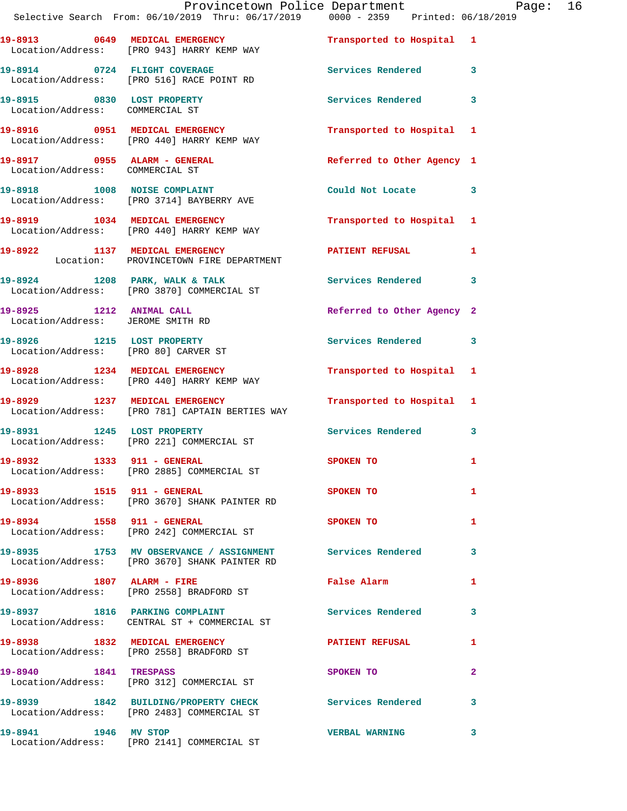|                                                               | Provincetown Police Department Page: 16<br>Selective Search From: 06/10/2019 Thru: 06/17/2019   0000 - 2359   Printed: 06/18/2019 |                                         |              |  |
|---------------------------------------------------------------|-----------------------------------------------------------------------------------------------------------------------------------|-----------------------------------------|--------------|--|
|                                                               | 19-8913 0649 MEDICAL EMERGENCY<br>Location/Address: [PRO 943] HARRY KEMP WAY                                                      | Transported to Hospital 1               |              |  |
|                                                               | 19-8914 0724 FLIGHT COVERAGE<br>Location/Address: [PRO 516] RACE POINT RD                                                         | Services Rendered 3                     |              |  |
| Location/Address: COMMERCIAL ST                               | 19-8915 0830 LOST PROPERTY                                                                                                        | Services Rendered 3                     |              |  |
|                                                               | 19-8916 0951 MEDICAL EMERGENCY Transported to Hospital 1<br>Location/Address: [PRO 440] HARRY KEMP WAY                            |                                         |              |  |
| Location/Address: COMMERCIAL ST                               | 19-8917 0955 ALARM - GENERAL                                                                                                      | Referred to Other Agency 1              |              |  |
|                                                               | 19-8918 1008 NOISE COMPLAINT<br>Location/Address: [PRO 3714] BAYBERRY AVE                                                         | Could Not Locate 3                      |              |  |
|                                                               | 19-8919 1034 MEDICAL EMERGENCY<br>Location/Address: [PRO 440] HARRY KEMP WAY                                                      | Transported to Hospital 1               |              |  |
|                                                               | 19-8922 1137 MEDICAL EMERGENCY<br>Location: PROVINCETOWN FIRE DEPARTMENT                                                          | PATIENT REFUSAL 1                       |              |  |
|                                                               | 19-8924 1208 PARK, WALK & TALK<br>Location/Address: [PRO 3870] COMMERCIAL ST                                                      | Services Rendered 3                     |              |  |
| 19-8925 1212 ANIMAL CALL<br>Location/Address: JEROME SMITH RD |                                                                                                                                   | Referred to Other Agency 2              |              |  |
|                                                               | 19-8926 1215 LOST PROPERTY<br>Location/Address: [PRO 80] CARVER ST                                                                | Services Rendered 3                     |              |  |
|                                                               | 19-8928 1234 MEDICAL EMERGENCY<br>Location/Address: [PRO 440] HARRY KEMP WAY                                                      | Transported to Hospital 1               |              |  |
|                                                               | 19-8929 1237 MEDICAL EMERGENCY Transported to Hospital 1<br>Location/Address: [PRO 781] CAPTAIN BERTIES WAY                       |                                         |              |  |
|                                                               | 19-8931 1245 LOST PROPERTY<br>Location/Address: [PRO 221] COMMERCIAL ST                                                           | Services Rendered 3                     |              |  |
|                                                               | 19-8932 1333 911 - GENERAL<br>Location/Address: [PRO 2885] COMMERCIAL ST                                                          | SPOKEN TO                               | $\mathbf{1}$ |  |
| 19-8933 1515 911 - GENERAL                                    | Location/Address: [PRO 3670] SHANK PAINTER RD                                                                                     | SPOKEN TO DESCRIPTION OF REAL PROPERTY. | 1            |  |
|                                                               | 19-8934 1558 911 - GENERAL<br>Location/Address: [PRO 242] COMMERCIAL ST                                                           | SPOKEN TO                               | 1            |  |
|                                                               | 19-8935 1753 MV OBSERVANCE / ASSIGNMENT Services Rendered 3<br>Location/Address: [PRO 3670] SHANK PAINTER RD                      |                                         |              |  |
|                                                               | 19-8936 1807 ALARM - FIRE<br>Location/Address: [PRO 2558] BRADFORD ST                                                             | False Alarm                             | $\mathbf{1}$ |  |
|                                                               | 19-8937 1816 PARKING COMPLAINT<br>Location/Address: CENTRAL ST + COMMERCIAL ST                                                    | Services Rendered 3                     |              |  |
|                                                               | 19-8938 1832 MEDICAL EMERGENCY<br>Location/Address: [PRO 2558] BRADFORD ST                                                        | PATIENT REFUSAL 1                       |              |  |
|                                                               | 19-8940 1841 TRESPASS<br>Location/Address: [PRO 312] COMMERCIAL ST                                                                | SPOKEN TO                               | $\mathbf{2}$ |  |
|                                                               | 19-8939 1842 BUILDING/PROPERTY CHECK Services Rendered 3<br>Location/Address: [PRO 2483] COMMERCIAL ST                            |                                         |              |  |
| 19-8941 1946 MV STOP                                          | Location/Address: [PRO 2141] COMMERCIAL ST                                                                                        | VERBAL WARNING 3                        |              |  |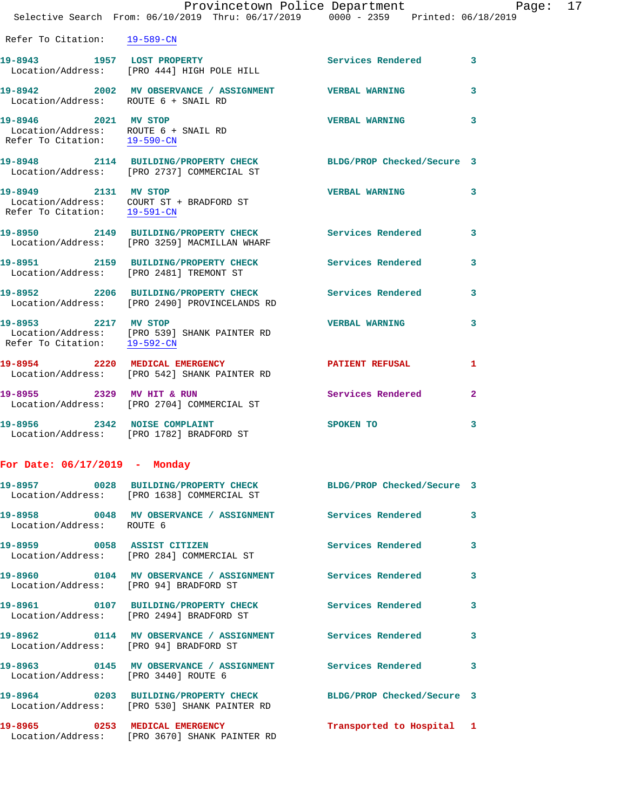Refer To Citation: 19-589-CN

19-8943 1957 LOST PROPERTY **1988** Services Rendered 3 Location/Address: [PRO 444] HIGH POLE HILL **19-8942 2002 MV OBSERVANCE / ASSIGNMENT VERBAL WARNING 3**  Location/Address: ROUTE 6 + SNAIL RD **19-8946 2021 MV STOP VERBAL WARNING 3**  Location/Address: ROUTE 6 + SNAIL RD Refer To Citation: 19-590-CN

**19-8948 2114 BUILDING/PROPERTY CHECK BLDG/PROP Checked/Secure 3**  Location/Address: [PRO 2737] COMMERCIAL ST **19-8949 2131 MV STOP VERBAL WARNING 3** 

 Location/Address: COURT ST + BRADFORD ST Refer To Citation: 19-591-CN **19-8950 2149 BUILDING/PROPERTY CHECK Services Rendered 3**  Location/Address: [PRO 3259] MACMILLAN WHARF

**19-8951 2159 BUILDING/PROPERTY CHECK Services Rendered 3**  Location/Address: [PRO 2481] TREMONT ST

**19-8952 2206 BUILDING/PROPERTY CHECK Services Rendered 3**  Location/Address: [PRO 2490] PROVINCELANDS RD

**19-8953 2217 MV STOP VERBAL WARNING 3**  Location/Address: [PRO 539] SHANK PAINTER RD Refer To Citation: 19-592-CN **19-8954 2220 MEDICAL EMERGENCY PATIENT REFUSAL 1**  Location/Address: [PRO 542] SHANK PAINTER RD 19-8955 2329 MV HIT & RUN Services Rendered 2 Location/Address: [PRO 2704] COMMERCIAL ST

**19-8956 2342 NOISE COMPLAINT SPOKEN TO 3**  Location/Address: [PRO 1782] BRADFORD ST

## **For Date: 06/17/2019 - Monday**

|                                        | Location/Address: [PRO 1638] COMMERCIAL ST                                                                      | BLDG/PROP Checked/Secure 3 |                         |
|----------------------------------------|-----------------------------------------------------------------------------------------------------------------|----------------------------|-------------------------|
| Location/Address: ROUTE 6              | 19-8958       0048   MV OBSERVANCE / ASSIGNMENT       Services Rendered                                         |                            | $\mathbf{3}$            |
|                                        | 19-8959 0058 ASSIST CITIZEN<br>Location/Address: [PRO 284] COMMERCIAL ST                                        | Services Rendered          | $\overline{\mathbf{3}}$ |
| Location/Address: [PRO 94] BRADFORD ST | 19-8960       0104   MV OBSERVANCE / ASSIGNMENT      Services Rendered                                          |                            | $\mathbf{3}$            |
|                                        | 19-8961 0107 BUILDING/PROPERTY CHECK<br>Location/Address: [PRO 2494] BRADFORD ST                                | <b>Services Rendered</b>   | $\overline{3}$          |
| Location/Address: [PRO 94] BRADFORD ST |                                                                                                                 |                            | $\mathbf{3}$            |
| Location/Address: [PRO 3440] ROUTE 6   | 19-8963       0145   MV OBSERVANCE / ASSIGNMENT      Services Rendered                                          |                            | $\mathbf{3}$            |
|                                        | 19-8964 0203 BUILDING/PROPERTY CHECK BLDG/PROP Checked/Secure 3<br>Location/Address: [PRO 530] SHANK PAINTER RD |                            |                         |
|                                        | 19-8965 0253 MEDICAL EMERGENCY<br>Location/Address: [PRO 3670] SHANK PAINTER RD                                 | Transported to Hospital 1  |                         |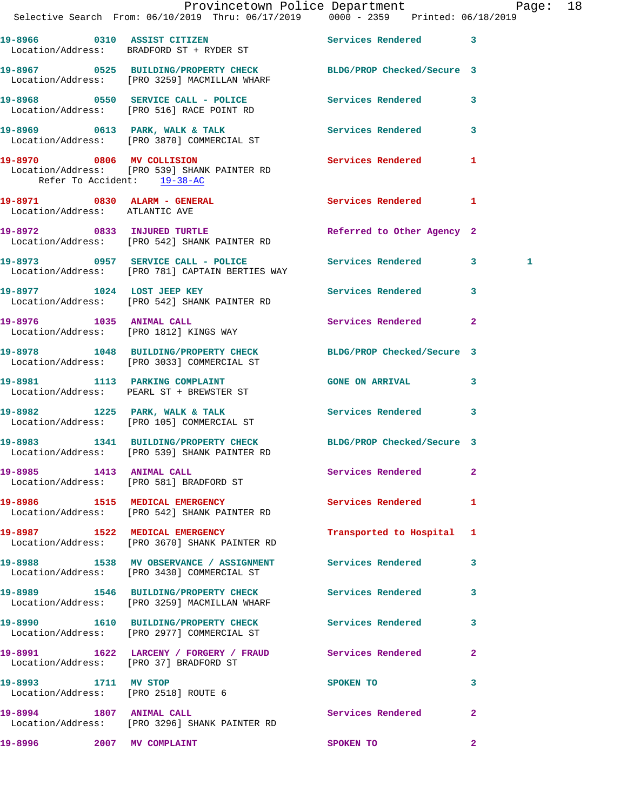|                                | Provincetown Police Department Page: 18<br>Selective Search From: $06/10/2019$ Thru: $06/17/2019$ 0000 - 2359 Printed: $06/18/2019$ |                            |              |  |
|--------------------------------|-------------------------------------------------------------------------------------------------------------------------------------|----------------------------|--------------|--|
|                                | 19-8966 0310 ASSIST CITIZEN<br>Location/Address: BRADFORD ST + RYDER ST                                                             | Services Rendered 3        |              |  |
|                                | 19-8967 0525 BUILDING/PROPERTY CHECK BLDG/PROP Checked/Secure 3<br>Location/Address: [PRO 3259] MACMILLAN WHARF                     |                            |              |  |
|                                | 19-8968 0550 SERVICE CALL - POLICE Services Rendered 3<br>Location/Address: [PRO 516] RACE POINT RD                                 |                            |              |  |
|                                | 19-8969 0613 PARK, WALK & TALK STARE Services Rendered 3<br>Location/Address: [PRO 3870] COMMERCIAL ST                              |                            |              |  |
|                                | 19-8970 0806 MV COLLISION<br>Location/Address: [PRO 539] SHANK PAINTER RD<br>Refer To Accident: 19-38-AC                            | Services Rendered 1        |              |  |
| Location/Address: ATLANTIC AVE | 19-8971 0830 ALARM - GENERAL Services Rendered 1                                                                                    |                            |              |  |
|                                | 19-8972 0833 INJURED TURTLE<br>Location/Address: [PRO 542] SHANK PAINTER RD                                                         | Referred to Other Agency 2 |              |  |
|                                | 19-8973 0957 SERVICE CALL - POLICE Services Rendered 3<br>Location/Address: [PRO 781] CAPTAIN BERTIES WAY                           |                            | 1            |  |
|                                | 19-8977 1024 LOST JEEP KEY 100 Services Rendered 3<br>Location/Address: [PRO 542] SHANK PAINTER RD                                  |                            |              |  |
|                                | 19-8976 1035 ANIMAL CALL<br>Location/Address: [PRO 1812] KINGS WAY                                                                  | Services Rendered 2        |              |  |
|                                | 19-8978 1048 BUILDING/PROPERTY CHECK BLDG/PROP Checked/Secure 3<br>Location/Address: [PRO 3033] COMMERCIAL ST                       |                            |              |  |
|                                | 19-8981 1113 PARKING COMPLAINT<br>Location/Address: PEARL ST + BREWSTER ST                                                          | GONE ON ARRIVAL 3          |              |  |
|                                | 19-8982 1225 PARK, WALK & TALK<br>Location/Address: [PRO 105] COMMERCIAL ST                                                         | Services Rendered 3        |              |  |
|                                | 19-8983 1341 BUILDING/PROPERTY CHECK BLDG/PROP Checked/Secure 3<br>Location/Address: [PRO 539] SHANK PAINTER RD                     |                            |              |  |
|                                | 19-8985 1413 ANIMAL CALL<br>Location/Address: [PRO 581] BRADFORD ST                                                                 | <b>Services Rendered</b> 2 |              |  |
|                                | 19-8986 1515 MEDICAL EMERGENCY 1 Services Rendered 1<br>Location/Address: [PRO 542] SHANK PAINTER RD                                |                            |              |  |
|                                | 19-8987 1522 MEDICAL EMERGENCY<br>Location/Address: [PRO 3670] SHANK PAINTER RD                                                     | Transported to Hospital 1  |              |  |
|                                | 19-8988 1538 MV OBSERVANCE / ASSIGNMENT Services Rendered 3<br>Location/Address: [PRO 3430] COMMERCIAL ST                           |                            |              |  |
|                                | 19-8989 1546 BUILDING/PROPERTY CHECK Services Rendered 3<br>Location/Address: [PRO 3259] MACMILLAN WHARF                            |                            |              |  |
|                                | 19-8990 1610 BUILDING/PROPERTY CHECK Services Rendered 3<br>Location/Address: [PRO 2977] COMMERCIAL ST                              |                            |              |  |
|                                | 19-8991 1622 LARCENY / FORGERY / FRAUD Services Rendered 2<br>Location/Address: [PRO 37] BRADFORD ST                                |                            |              |  |
|                                | 19-8993 1711 MV STOP<br>Location/Address: [PRO 2518] ROUTE 6                                                                        | SPOKEN TO                  | 3            |  |
| 19-8994 1807 ANIMAL CALL       | Location/Address: [PRO 3296] SHANK PAINTER RD                                                                                       | Services Rendered          | $\mathbf{2}$ |  |
|                                | 19-8996 2007 MV COMPLAINT                                                                                                           | <b>SPOKEN TO</b>           | $\mathbf{2}$ |  |